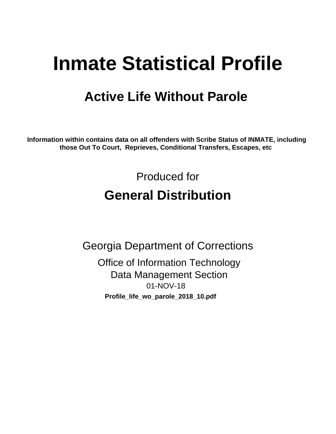# **Inmate Statistical Profile**

# **Active Life Without Parole**

Information within contains data on all offenders with Scribe Status of INMATE, including those Out To Court, Reprieves, Conditional Transfers, Escapes, etc

> Produced for **General Distribution**

**Georgia Department of Corrections Office of Information Technology Data Management Section** 01-NOV-18 Profile\_life\_wo\_parole\_2018\_10.pdf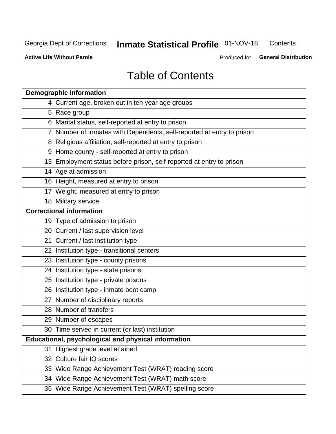#### Inmate Statistical Profile 01-NOV-18 Contents

**Active Life Without Parole** 

Produced for General Distribution

# **Table of Contents**

|    | <b>Demographic information</b>                                        |
|----|-----------------------------------------------------------------------|
|    | 4 Current age, broken out in ten year age groups                      |
|    | 5 Race group                                                          |
|    | 6 Marital status, self-reported at entry to prison                    |
|    | 7 Number of Inmates with Dependents, self-reported at entry to prison |
|    | 8 Religious affiliation, self-reported at entry to prison             |
|    | 9 Home county - self-reported at entry to prison                      |
|    | 13 Employment status before prison, self-reported at entry to prison  |
|    | 14 Age at admission                                                   |
|    | 16 Height, measured at entry to prison                                |
|    | 17 Weight, measured at entry to prison                                |
|    | 18 Military service                                                   |
|    | <b>Correctional information</b>                                       |
|    | 19 Type of admission to prison                                        |
|    | 20 Current / last supervision level                                   |
|    | 21 Current / last institution type                                    |
|    | 22 Institution type - transitional centers                            |
|    | 23 Institution type - county prisons                                  |
|    | 24 Institution type - state prisons                                   |
|    | 25 Institution type - private prisons                                 |
|    | 26 Institution type - inmate boot camp                                |
|    | 27 Number of disciplinary reports                                     |
|    | 28 Number of transfers                                                |
|    | 29 Number of escapes                                                  |
|    | 30 Time served in current (or last) institution                       |
|    | Educational, psychological and physical information                   |
| 31 | Highest grade level attained                                          |
|    | 32 Culture fair IQ scores                                             |
|    | 33 Wide Range Achievement Test (WRAT) reading score                   |
|    | 34 Wide Range Achievement Test (WRAT) math score                      |
|    | 35 Wide Range Achievement Test (WRAT) spelling score                  |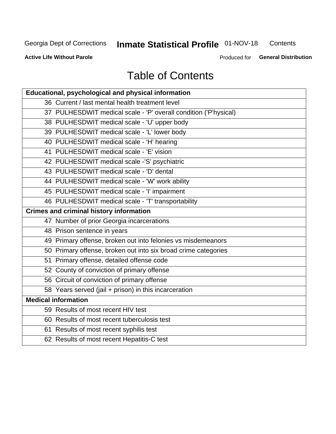# Inmate Statistical Profile 01-NOV-18

Contents

**Active Life Without Parole** 

Produced for General Distribution

# **Table of Contents**

| <b>Educational, psychological and physical information</b>       |
|------------------------------------------------------------------|
| 36 Current / last mental health treatment level                  |
| 37 PULHESDWIT medical scale - 'P' overall condition ('P'hysical) |
| 38 PULHESDWIT medical scale - 'U' upper body                     |
| 39 PULHESDWIT medical scale - 'L' lower body                     |
| 40 PULHESDWIT medical scale - 'H' hearing                        |
| 41 PULHESDWIT medical scale - 'E' vision                         |
| 42 PULHESDWIT medical scale -'S' psychiatric                     |
| 43 PULHESDWIT medical scale - 'D' dental                         |
| 44 PULHESDWIT medical scale - 'W' work ability                   |
| 45 PULHESDWIT medical scale - 'I' impairment                     |
| 46 PULHESDWIT medical scale - 'T' transportability               |
| <b>Crimes and criminal history information</b>                   |
| 47 Number of prior Georgia incarcerations                        |
| 48 Prison sentence in years                                      |
| 49 Primary offense, broken out into felonies vs misdemeanors     |
| 50 Primary offense, broken out into six broad crime categories   |
| 51 Primary offense, detailed offense code                        |
| 52 County of conviction of primary offense                       |
| 56 Circuit of conviction of primary offense                      |
| 58 Years served (jail + prison) in this incarceration            |
| <b>Medical information</b>                                       |
| 59 Results of most recent HIV test                               |
| 60 Results of most recent tuberculosis test                      |
| 61 Results of most recent syphilis test                          |
| 62 Results of most recent Hepatitis-C test                       |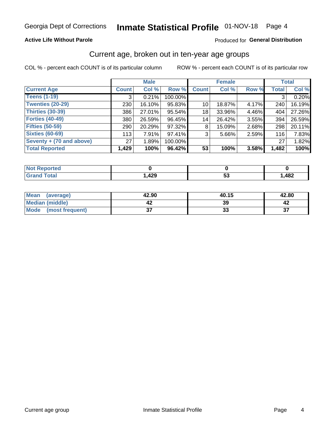## **Active Life Without Parole**

## Produced for General Distribution

# Current age, broken out in ten-year age groups

COL % - percent each COUNT is of its particular column

|                          | <b>Male</b>  |        |         | <b>Female</b>   |        |          | <b>Total</b> |        |
|--------------------------|--------------|--------|---------|-----------------|--------|----------|--------------|--------|
| <b>Current Age</b>       | <b>Count</b> | Col %  | Row %   | <b>Count</b>    | Col %  | Row %    | <b>Total</b> | Col %  |
| <b>Teens (1-19)</b>      | 3            | 0.21%  | 100.00% |                 |        |          | 3            | 0.20%  |
| <b>Twenties (20-29)</b>  | 230          | 16.10% | 95.83%  | 10 <sup>1</sup> | 18.87% | 4.17%    | 240          | 16.19% |
| Thirties (30-39)         | 386          | 27.01% | 95.54%  | 18              | 33.96% | 4.46%    | 404          | 27.26% |
| <b>Forties (40-49)</b>   | 380          | 26.59% | 96.45%  | 14              | 26.42% | 3.55%    | 394          | 26.59% |
| <b>Fifties (50-59)</b>   | 290          | 20.29% | 97.32%  | 8               | 15.09% | $2.68\%$ | 298          | 20.11% |
| <b>Sixties (60-69)</b>   | 113          | 7.91%  | 97.41%  | 3               | 5.66%  | 2.59%    | 116          | 7.83%  |
| Seventy + (70 and above) | 27           | 1.89%  | 100.00% |                 |        |          | 27           | 1.82%  |
| <b>Total Reported</b>    | 1,429        | 100%   | 96.42%  | 53              | 100%   | 3.58%    | 1,482        | 100%   |

| ted -<br>m.           |             |         |      |
|-----------------------|-------------|---------|------|
| $f \wedge f \wedge f$ | 00 מ<br>74J | --<br>v | ,482 |

| <b>Mean</b><br>(average) | 42.90    | 40.15 | 42.80      |
|--------------------------|----------|-------|------------|
| Median (middle)          |          | 39    |            |
| Mode<br>(most frequent)  | ^<br>ا پ | vu    | $-$<br>. پ |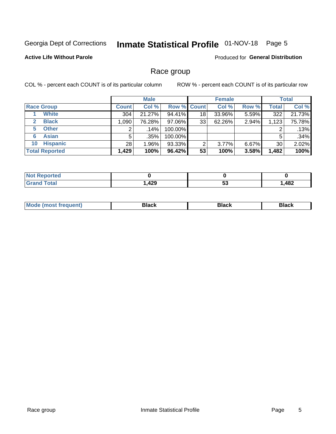# Inmate Statistical Profile 01-NOV-18 Page 5

## **Active Life Without Parole**

Produced for General Distribution

## Race group

COL % - percent each COUNT is of its particular column

|                              | <b>Male</b>  |          |                    | <b>Female</b> |        |          | <b>Total</b> |        |
|------------------------------|--------------|----------|--------------------|---------------|--------|----------|--------------|--------|
| <b>Race Group</b>            | <b>Count</b> | Col %    | <b>Row % Count</b> |               | Col %  | Row %    | <b>Total</b> | Col %  |
| <b>White</b>                 | 304          | 21.27%   | 94.41%             | 18            | 33.96% | 5.59%    | 322          | 21.73% |
| <b>Black</b><br>$\mathbf{2}$ | 1,090        | 76.28%   | 97.06%             | 33            | 62.26% | 2.94%    | 1,123        | 75.78% |
| <b>Other</b><br>5.           |              | $.14\%$  | 100.00%            |               |        |          | 2            | .13%   |
| <b>Asian</b><br>6            | 5            | .35%     | 100.00%            |               |        |          | 5            | .34%   |
| <b>Hispanic</b><br>10        | 28           | $1.96\%$ | 93.33%             | 2             | 3.77%  | $6.67\%$ | 30           | 2.02%  |
| <b>Total Reported</b>        | 1,429        | 100%     | 96.42%             | 53            | 100%   | 3.58%    | 1,482        | 100%   |

| ∩rteα<br>N   |            |     |                        |
|--------------|------------|-----|------------------------|
| <b>Total</b> | 120<br>44J | JJ. | $\overline{AB}$<br>40Z |

| M | - - - |  |
|---|-------|--|
|   |       |  |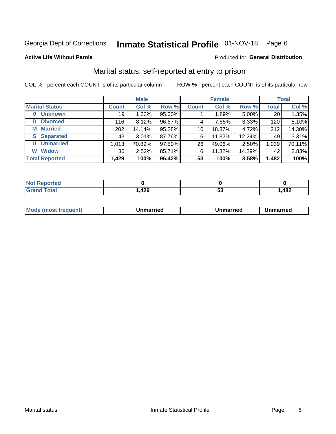# Inmate Statistical Profile 01-NOV-18 Page 6

### **Active Life Without Parole**

### Produced for General Distribution

# Marital status, self-reported at entry to prison

COL % - percent each COUNT is of its particular column

|                            | <b>Male</b>     |          |        | <b>Female</b>   |        |        | <b>Total</b> |        |
|----------------------------|-----------------|----------|--------|-----------------|--------|--------|--------------|--------|
| <b>Marital Status</b>      | <b>Count</b>    | Col %    | Row %  | <b>Count</b>    | Col %  | Row %  | <b>Total</b> | Col %  |
| <b>Unknown</b><br>$\bf{0}$ | 19              | 1.33%    | 95.00% |                 | 1.89%  | 5.00%  | 20           | 1.35%  |
| <b>Divorced</b><br>D       | 116             | 8.12%    | 96.67% | 4               | 7.55%  | 3.33%  | 120          | 8.10%  |
| <b>Married</b><br>М        | 202             | 14.14%   | 95.28% | 10 <sup>1</sup> | 18.87% | 4.72%  | 212          | 14.30% |
| <b>Separated</b><br>S.     | 43              | $3.01\%$ | 87.76% | 6               | 11.32% | 12.24% | 49           | 3.31%  |
| <b>Unmarried</b><br>U      | 1,013           | 70.89%   | 97.50% | 26              | 49.06% | 2.50%  | 1,039        | 70.11% |
| <b>Widow</b><br>W          | 36 <sub>1</sub> | 2.52%    | 85.71% | 6               | 11.32% | 14.29% | 42           | 2.83%  |
| <b>Total Reported</b>      | 1,429           | 100%     | 96.42% | 53              | 100%   | 3.58%  | 1,482        | 100%   |

| prted<br>NOT RADO |                  |   |      |
|-------------------|------------------|---|------|
| <b>Total</b>      | סכו<br>л<br>,42J | ູ | ,482 |

|  | M | . | Unmarried | າmarried<br>_____ |
|--|---|---|-----------|-------------------|
|--|---|---|-----------|-------------------|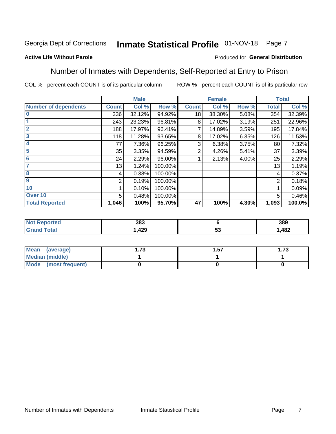#### Inmate Statistical Profile 01-NOV-18 Page 7

## **Active Life Without Parole**

## Produced for General Distribution

# Number of Inmates with Dependents, Self-Reported at Entry to Prison

COL % - percent each COUNT is of its particular column

|                             |              | <b>Male</b> |         |              | <b>Female</b> |       |              | <b>Total</b> |
|-----------------------------|--------------|-------------|---------|--------------|---------------|-------|--------------|--------------|
| <b>Number of dependents</b> | <b>Count</b> | Col %       | Row %   | <b>Count</b> | Col %         | Row % | <b>Total</b> | Col %        |
| l 0                         | 336          | 32.12%      | 94.92%  | 18           | 38.30%        | 5.08% | 354          | 32.39%       |
|                             | 243          | 23.23%      | 96.81%  | 8            | 17.02%        | 3.19% | 251          | 22.96%       |
| $\overline{2}$              | 188          | 17.97%      | 96.41%  | 7            | 14.89%        | 3.59% | 195          | 17.84%       |
| $\overline{3}$              | 118          | 11.28%      | 93.65%  | 8            | 17.02%        | 6.35% | 126          | 11.53%       |
| 4                           | 77           | 7.36%       | 96.25%  | 3            | 6.38%         | 3.75% | 80           | 7.32%        |
| 5                           | 35           | 3.35%       | 94.59%  | 2            | 4.26%         | 5.41% | 37           | 3.39%        |
| 6                           | 24           | 2.29%       | 96.00%  |              | 2.13%         | 4.00% | 25           | 2.29%        |
| 7                           | 13           | 1.24%       | 100.00% |              |               |       | 13           | 1.19%        |
| 8                           | 4            | 0.38%       | 100.00% |              |               |       | 4            | 0.37%        |
| 9                           | 2            | 0.19%       | 100.00% |              |               |       | 2            | 0.18%        |
| 10                          |              | 0.10%       | 100.00% |              |               |       | 1            | 0.09%        |
| Over 10                     | 5            | 0.48%       | 100.00% |              |               |       | 5            | 0.46%        |
| <b>Total Reported</b>       | 1,046        | 100%        | 95.70%  | 47           | 100%          | 4.30% | 1,093        | 100.0%       |

| на о | 383         |          | 389  |
|------|-------------|----------|------|
|      | 10 O<br>443 | --<br>JJ | ,482 |

| Mean (average)         | 70<br>. J | . .57 | 70<br>I . / J |
|------------------------|-----------|-------|---------------|
| <b>Median (middle)</b> |           |       |               |
| Mode (most frequent)   |           |       |               |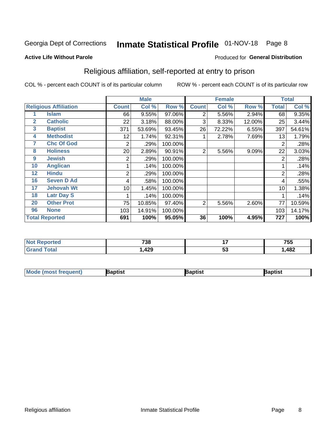# Inmate Statistical Profile 01-NOV-18 Page 8

### **Active Life Without Parole**

### Produced for General Distribution

# Religious affiliation, self-reported at entry to prison

COL % - percent each COUNT is of its particular column

|              |                              |              | <b>Male</b> |         |              | <b>Female</b> |        |                | <b>Total</b> |
|--------------|------------------------------|--------------|-------------|---------|--------------|---------------|--------|----------------|--------------|
|              | <b>Religious Affiliation</b> | <b>Count</b> | Col %       | Row %   | <b>Count</b> | Col %         | Row %  | <b>Total</b>   | Col %        |
|              | <b>Islam</b>                 | 66           | 9.55%       | 97.06%  | 2            | 5.56%         | 2.94%  | 68             | 9.35%        |
| $\mathbf{2}$ | <b>Catholic</b>              | 22           | 3.18%       | 88.00%  | 3            | 8.33%         | 12.00% | 25             | 3.44%        |
| 3            | <b>Baptist</b>               | 371          | 53.69%      | 93.45%  | 26           | 72.22%        | 6.55%  | 397            | 54.61%       |
| 4            | <b>Methodist</b>             | 12           | 1.74%       | 92.31%  |              | 2.78%         | 7.69%  | 13             | 1.79%        |
| 7            | <b>Chc Of God</b>            | 2            | .29%        | 100.00% |              |               |        | 2              | .28%         |
| 8            | <b>Holiness</b>              | 20           | 2.89%       | 90.91%  | 2            | 5.56%         | 9.09%  | 22             | 3.03%        |
| 9            | <b>Jewish</b>                | 2            | .29%        | 100.00% |              |               |        | $\overline{2}$ | .28%         |
| 10           | <b>Anglican</b>              |              | .14%        | 100.00% |              |               |        |                | .14%         |
| 12           | <b>Hindu</b>                 | 2            | .29%        | 100.00% |              |               |        | $\overline{2}$ | .28%         |
| 16           | <b>Seven D Ad</b>            | 4            | .58%        | 100.00% |              |               |        | 4              | .55%         |
| 17           | <b>Jehovah Wt</b>            | 10           | 1.45%       | 100.00% |              |               |        | 10             | 1.38%        |
| 18           | <b>Latr Day S</b>            |              | .14%        | 100.00% |              |               |        |                | .14%         |
| 20           | <b>Other Prot</b>            | 75           | 10.85%      | 97.40%  | 2            | 5.56%         | 2.60%  | 77             | 10.59%       |
| 96           | <b>None</b>                  | 103          | 14.91%      | 100.00% |              |               |        | 103            | 14.17%       |
|              | <b>Total Reported</b>        | 691          | 100%        | 95.05%  | 36           | 100%          | 4.95%  | 727            | 100%         |

| rteo<br> | 738          | $\overline{\phantom{a}}$ | ---<br>755 |
|----------|--------------|--------------------------|------------|
|          | 10c<br>3429, | v                        | 482        |

| <b>Mode (most frequent)</b> | 3aptist | 3aptist | Baptist |
|-----------------------------|---------|---------|---------|
|-----------------------------|---------|---------|---------|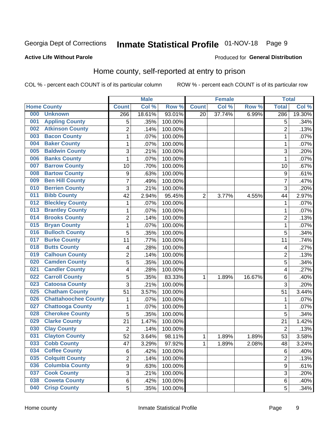# Inmate Statistical Profile 01-NOV-18 Page 9

### **Active Life Without Parole**

### Produced for General Distribution

# Home county, self-reported at entry to prison

COL % - percent each COUNT is of its particular column

|     |                             |                  | <b>Male</b> |         |                | <b>Female</b> |        | <b>Total</b>   |        |
|-----|-----------------------------|------------------|-------------|---------|----------------|---------------|--------|----------------|--------|
|     | <b>Home County</b>          | <b>Count</b>     | Col %       | Row %   | <b>Count</b>   | Col %         | Row %  | <b>Total</b>   | Col %  |
| 000 | <b>Unknown</b>              | 266              | 18.61%      | 93.01%  | 20             | 37.74%        | 6.99%  | 286            | 19.30% |
| 001 | <b>Appling County</b>       | 5                | .35%        | 100.00% |                |               |        | 5              | .34%   |
| 002 | <b>Atkinson County</b>      | $\overline{2}$   | .14%        | 100.00% |                |               |        | $\overline{2}$ | .13%   |
| 003 | <b>Bacon County</b>         | $\mathbf 1$      | .07%        | 100.00% |                |               |        | 1              | .07%   |
| 004 | <b>Baker County</b>         | $\mathbf{1}$     | .07%        | 100.00% |                |               |        | 1              | .07%   |
| 005 | <b>Baldwin County</b>       | 3                | .21%        | 100.00% |                |               |        | 3              | .20%   |
| 006 | <b>Banks County</b>         | $\mathbf{1}$     | .07%        | 100.00% |                |               |        | 1              | .07%   |
| 007 | <b>Barrow County</b>        | 10               | .70%        | 100.00% |                |               |        | 10             | .67%   |
| 008 | <b>Bartow County</b>        | $\boldsymbol{9}$ | .63%        | 100.00% |                |               |        | 9              | .61%   |
| 009 | <b>Ben Hill County</b>      | $\overline{7}$   | .49%        | 100.00% |                |               |        | 7              | .47%   |
| 010 | <b>Berrien County</b>       | 3                | .21%        | 100.00% |                |               |        | 3              | .20%   |
| 011 | <b>Bibb County</b>          | 42               | 2.94%       | 95.45%  | $\overline{2}$ | 3.77%         | 4.55%  | 44             | 2.97%  |
| 012 | <b>Bleckley County</b>      | 1                | .07%        | 100.00% |                |               |        | 1              | .07%   |
| 013 | <b>Brantley County</b>      | $\mathbf 1$      | .07%        | 100.00% |                |               |        | 1              | .07%   |
| 014 | <b>Brooks County</b>        | $\overline{2}$   | .14%        | 100.00% |                |               |        | $\overline{2}$ | .13%   |
| 015 | <b>Bryan County</b>         | $\mathbf{1}$     | .07%        | 100.00% |                |               |        | 1              | .07%   |
| 016 | <b>Bulloch County</b>       | 5                | .35%        | 100.00% |                |               |        | 5              | .34%   |
| 017 | <b>Burke County</b>         | 11               | .77%        | 100.00% |                |               |        | 11             | .74%   |
| 018 | <b>Butts County</b>         | 4                | .28%        | 100.00% |                |               |        | 4              | .27%   |
| 019 | <b>Calhoun County</b>       | $\overline{2}$   | .14%        | 100.00% |                |               |        | $\overline{2}$ | .13%   |
| 020 | <b>Camden County</b>        | 5                | .35%        | 100.00% |                |               |        | 5              | .34%   |
| 021 | <b>Candler County</b>       | 4                | .28%        | 100.00% |                |               |        | 4              | .27%   |
| 022 | <b>Carroll County</b>       | 5                | .35%        | 83.33%  | 1              | 1.89%         | 16.67% | 6              | .40%   |
| 023 | <b>Catoosa County</b>       | 3                | .21%        | 100.00% |                |               |        | $\overline{3}$ | .20%   |
| 025 | <b>Chatham County</b>       | 51               | 3.57%       | 100.00% |                |               |        | 51             | 3.44%  |
| 026 | <b>Chattahoochee County</b> | 1                | .07%        | 100.00% |                |               |        | 1              | .07%   |
| 027 | <b>Chattooga County</b>     | $\mathbf 1$      | .07%        | 100.00% |                |               |        | 1              | .07%   |
| 028 | <b>Cherokee County</b>      | 5                | .35%        | 100.00% |                |               |        | 5              | .34%   |
| 029 | <b>Clarke County</b>        | 21               | 1.47%       | 100.00% |                |               |        | 21             | 1.42%  |
| 030 | <b>Clay County</b>          | $\overline{2}$   | .14%        | 100.00% |                |               |        | $\overline{2}$ | .13%   |
| 031 | <b>Clayton County</b>       | 52               | 3.64%       | 98.11%  | 1              | 1.89%         | 1.89%  | 53             | 3.58%  |
| 033 | <b>Cobb County</b>          | 47               | 3.29%       | 97.92%  | 1              | 1.89%         | 2.08%  | 48             | 3.24%  |
| 034 | <b>Coffee County</b>        | 6                | .42%        | 100.00% |                |               |        | 6              | .40%   |
| 035 | <b>Colquitt County</b>      | $\overline{2}$   | .14%        | 100.00% |                |               |        | $\overline{2}$ | .13%   |
| 036 | <b>Columbia County</b>      | $\overline{9}$   | .63%        | 100.00% |                |               |        | $\mathsf g$    | .61%   |
| 037 | <b>Cook County</b>          | 3                | .21%        | 100.00% |                |               |        | 3              | .20%   |
| 038 | <b>Coweta County</b>        | 6                | .42%        | 100.00% |                |               |        | 6              | .40%   |
| 040 | <b>Crisp County</b>         | 5                | .35%        | 100.00% |                |               |        | 5              | .34%   |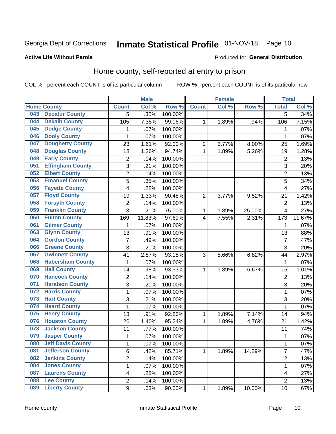# Inmate Statistical Profile 01-NOV-18 Page 10

## **Active Life Without Parole**

## Produced for General Distribution

# Home county, self-reported at entry to prison

COL % - percent each COUNT is of its particular column

|     |                          |                | <b>Male</b> |         |                | <b>Female</b> |        | <b>Total</b>   |         |
|-----|--------------------------|----------------|-------------|---------|----------------|---------------|--------|----------------|---------|
|     | <b>Home County</b>       | <b>Count</b>   | Col %       | Row %   | <b>Count</b>   | Col %         | Row %  | <b>Total</b>   | Col %   |
| 043 | <b>Decatur County</b>    | 5              | .35%        | 100.00% |                |               |        | 5              | .34%    |
| 044 | <b>Dekalb County</b>     | 105            | 7.35%       | 99.06%  | 1              | 1.89%         | .94%   | 106            | 7.15%   |
| 045 | <b>Dodge County</b>      | 1              | .07%        | 100.00% |                |               |        | 1              | .07%    |
| 046 | <b>Dooly County</b>      | 1              | .07%        | 100.00% |                |               |        | 1              | .07%    |
| 047 | <b>Dougherty County</b>  | 23             | 1.61%       | 92.00%  | $\overline{c}$ | 3.77%         | 8.00%  | 25             | 1.69%   |
| 048 | <b>Douglas County</b>    | 18             | 1.26%       | 94.74%  | 1              | 1.89%         | 5.26%  | 19             | 1.28%   |
| 049 | <b>Early County</b>      | $\overline{c}$ | .14%        | 100.00% |                |               |        | $\overline{2}$ | .13%    |
| 051 | <b>Effingham County</b>  | 3              | .21%        | 100.00% |                |               |        | 3              | .20%    |
| 052 | <b>Elbert County</b>     | $\overline{c}$ | .14%        | 100.00% |                |               |        | $\overline{2}$ | .13%    |
| 053 | <b>Emanuel County</b>    | 5              | .35%        | 100.00% |                |               |        | 5              | .34%    |
| 056 | <b>Fayette County</b>    | 4              | .28%        | 100.00% |                |               |        | 4              | .27%    |
| 057 | <b>Floyd County</b>      | 19             | 1.33%       | 90.48%  | $\overline{2}$ | 3.77%         | 9.52%  | 21             | 1.42%   |
| 058 | <b>Forsyth County</b>    | $\overline{c}$ | .14%        | 100.00% |                |               |        | $\overline{2}$ | .13%    |
| 059 | <b>Franklin County</b>   | 3              | .21%        | 75.00%  | 1              | 1.89%         | 25.00% | 4              | .27%    |
| 060 | <b>Fulton County</b>     | 169            | 11.83%      | 97.69%  | 4              | 7.55%         | 2.31%  | 173            | 11.67%  |
| 061 | <b>Gilmer County</b>     | 1              | .07%        | 100.00% |                |               |        | 1              | .07%    |
| 063 | <b>Glynn County</b>      | 13             | .91%        | 100.00% |                |               |        | 13             | .88%    |
| 064 | <b>Gordon County</b>     | $\overline{7}$ | .49%        | 100.00% |                |               |        | 7              | .47%    |
| 066 | <b>Greene County</b>     | 3              | .21%        | 100.00% |                |               |        | 3              | .20%    |
| 067 | <b>Gwinnett County</b>   | 41             | 2.87%       | 93.18%  | 3              | 5.66%         | 6.82%  | 44             | 2.97%   |
| 068 | <b>Habersham County</b>  | $\mathbf 1$    | .07%        | 100.00% |                |               |        | 1              | .07%    |
| 069 | <b>Hall County</b>       | 14             | .98%        | 93.33%  | 1              | 1.89%         | 6.67%  | 15             | 1.01%   |
| 070 | <b>Hancock County</b>    | $\overline{2}$ | .14%        | 100.00% |                |               |        | $\overline{2}$ | .13%    |
| 071 | <b>Haralson County</b>   | 3              | .21%        | 100.00% |                |               |        | 3              | .20%    |
| 072 | <b>Harris County</b>     | $\mathbf 1$    | .07%        | 100.00% |                |               |        | 1              | .07%    |
| 073 | <b>Hart County</b>       | 3              | .21%        | 100.00% |                |               |        | 3              | .20%    |
| 074 | <b>Heard County</b>      | $\mathbf 1$    | .07%        | 100.00% |                |               |        | 1              | .07%    |
| 075 | <b>Henry County</b>      | 13             | .91%        | 92.86%  | 1              | 1.89%         | 7.14%  | 14             | .94%    |
| 076 | <b>Houston County</b>    | 20             | 1.40%       | 95.24%  | 1              | 1.89%         | 4.76%  | 21             | 1.42%   |
| 078 | <b>Jackson County</b>    | 11             | .77%        | 100.00% |                |               |        | 11             | .74%    |
| 079 | <b>Jasper County</b>     | 1              | .07%        | 100.00% |                |               |        | 1              | .07%    |
| 080 | <b>Jeff Davis County</b> | 1              | .07%        | 100.00% |                |               |        | 1              | $.07\%$ |
| 081 | <b>Jefferson County</b>  | 6              | .42%        | 85.71%  | $\mathbf{1}$   | 1.89%         | 14.29% | 7              | .47%    |
| 082 | <b>Jenkins County</b>    | $\overline{2}$ | .14%        | 100.00% |                |               |        | 2              | .13%    |
| 084 | <b>Jones County</b>      | $\mathbf{1}$   | .07%        | 100.00% |                |               |        | $\mathbf 1$    | .07%    |
| 087 | <b>Laurens County</b>    | 4              | .28%        | 100.00% |                |               |        | 4              | .27%    |
| 088 | <b>Lee County</b>        | $\overline{c}$ | .14%        | 100.00% |                |               |        | $\overline{2}$ | .13%    |
| 089 | <b>Liberty County</b>    | 9              | .63%        | 90.00%  | $\mathbf 1$    | 1.89%         | 10.00% | 10             | .67%    |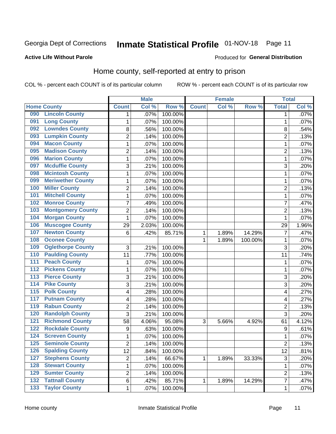# Inmate Statistical Profile 01-NOV-18 Page 11

### **Active Life Without Parole**

## Produced for General Distribution

# Home county, self-reported at entry to prison

COL % - percent each COUNT is of its particular column

|                  |                          |                | <b>Male</b> |         |              | <b>Female</b> |         | <b>Total</b>   |       |
|------------------|--------------------------|----------------|-------------|---------|--------------|---------------|---------|----------------|-------|
|                  | <b>Home County</b>       | <b>Count</b>   | Col %       | Row %   | <b>Count</b> | Col%          | Row %   | <b>Total</b>   | Col % |
| 090              | <b>Lincoln County</b>    | 1              | .07%        | 100.00% |              |               |         | 1              | .07%  |
| 091              | <b>Long County</b>       | 1              | .07%        | 100.00% |              |               |         | 1              | .07%  |
| 092              | <b>Lowndes County</b>    | 8              | .56%        | 100.00% |              |               |         | 8              | .54%  |
| 093              | <b>Lumpkin County</b>    | $\overline{2}$ | .14%        | 100.00% |              |               |         | $\overline{2}$ | .13%  |
| 094              | <b>Macon County</b>      | $\mathbf 1$    | .07%        | 100.00% |              |               |         | 1              | .07%  |
| 095              | <b>Madison County</b>    | $\overline{2}$ | .14%        | 100.00% |              |               |         | $\overline{2}$ | .13%  |
| 096              | <b>Marion County</b>     | $\mathbf 1$    | .07%        | 100.00% |              |               |         | 1              | .07%  |
| 097              | <b>Mcduffie County</b>   | 3              | .21%        | 100.00% |              |               |         | 3              | .20%  |
| 098              | <b>Mcintosh County</b>   | $\mathbf 1$    | .07%        | 100.00% |              |               |         | 1              | .07%  |
| 099              | <b>Meriwether County</b> | $\mathbf 1$    | .07%        | 100.00% |              |               |         | 1              | .07%  |
| 100              | <b>Miller County</b>     | $\overline{c}$ | .14%        | 100.00% |              |               |         | 2              | .13%  |
| 101              | <b>Mitchell County</b>   | 1              | .07%        | 100.00% |              |               |         | 1              | .07%  |
| 102              | <b>Monroe County</b>     | 7              | .49%        | 100.00% |              |               |         | 7              | .47%  |
| 103              | <b>Montgomery County</b> | $\overline{c}$ | .14%        | 100.00% |              |               |         | $\overline{2}$ | .13%  |
| 104              | <b>Morgan County</b>     | $\mathbf{1}$   | .07%        | 100.00% |              |               |         | 1              | .07%  |
| 106              | <b>Muscogee County</b>   | 29             | 2.03%       | 100.00% |              |               |         | 29             | 1.96% |
| 107              | <b>Newton County</b>     | 6              | .42%        | 85.71%  | 1            | 1.89%         | 14.29%  | 7              | .47%  |
| 108              | <b>Oconee County</b>     |                |             |         | 1            | 1.89%         | 100.00% | 1              | .07%  |
| 109              | <b>Oglethorpe County</b> | 3              | .21%        | 100.00% |              |               |         | 3              | .20%  |
| 110              | <b>Paulding County</b>   | 11             | .77%        | 100.00% |              |               |         | 11             | .74%  |
| 111              | <b>Peach County</b>      | $\mathbf 1$    | .07%        | 100.00% |              |               |         | 1              | .07%  |
| $\overline{112}$ | <b>Pickens County</b>    | $\mathbf 1$    | .07%        | 100.00% |              |               |         | 1              | .07%  |
| 113              | <b>Pierce County</b>     | 3              | .21%        | 100.00% |              |               |         | 3              | .20%  |
| 114              | <b>Pike County</b>       | 3              | .21%        | 100.00% |              |               |         | 3              | .20%  |
| $\overline{115}$ | <b>Polk County</b>       | 4              | .28%        | 100.00% |              |               |         | 4              | .27%  |
| 117              | <b>Putnam County</b>     | 4              | .28%        | 100.00% |              |               |         | 4              | .27%  |
| 119              | <b>Rabun County</b>      | $\overline{2}$ | .14%        | 100.00% |              |               |         | $\overline{2}$ | .13%  |
| 120              | <b>Randolph County</b>   | 3              | .21%        | 100.00% |              |               |         | 3              | .20%  |
| 121              | <b>Richmond County</b>   | 58             | 4.06%       | 95.08%  | 3            | 5.66%         | 4.92%   | 61             | 4.12% |
| 122              | <b>Rockdale County</b>   | 9              | .63%        | 100.00% |              |               |         | 9              | .61%  |
| 124              | <b>Screven County</b>    | $\mathbf 1$    | .07%        | 100.00% |              |               |         | 1              | .07%  |
| 125              | <b>Seminole County</b>   | 2              | .14%        | 100.00% |              |               |         | $\overline{c}$ | .13%  |
| 126              | <b>Spalding County</b>   | 12             | .84%        | 100.00% |              |               |         | 12             | .81%  |
| 127              | <b>Stephens County</b>   | $\overline{c}$ | .14%        | 66.67%  | 1            | 1.89%         | 33.33%  | $\mathfrak{B}$ | .20%  |
| 128              | <b>Stewart County</b>    | $\mathbf{1}$   | .07%        | 100.00% |              |               |         | $\mathbf 1$    | .07%  |
| 129              | <b>Sumter County</b>     | $\overline{c}$ | .14%        | 100.00% |              |               |         | 2              | .13%  |
| $\overline{132}$ | <b>Tattnall County</b>   | 6              | .42%        | 85.71%  | 1            | 1.89%         | 14.29%  | 7              | .47%  |
| $\overline{133}$ | <b>Taylor County</b>     | 1              | .07%        | 100.00% |              |               |         | 1              | .07%  |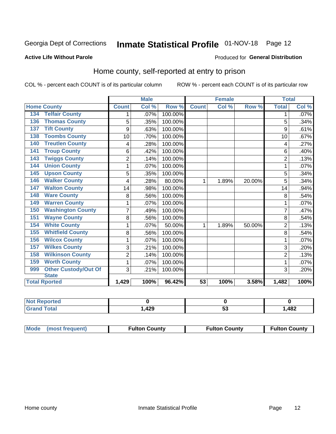# Inmate Statistical Profile 01-NOV-18 Page 12

### **Active Life Without Parole**

### Produced for General Distribution

# Home county, self-reported at entry to prison

COL % - percent each COUNT is of its particular column

|                                    |                | <b>Male</b> |         |              | <b>Female</b> |        | <b>Total</b>   |       |
|------------------------------------|----------------|-------------|---------|--------------|---------------|--------|----------------|-------|
| <b>Home County</b>                 | <b>Count</b>   | Col %       | Row %   | <b>Count</b> | Col %         | Row %  | <b>Total</b>   | Col % |
| <b>Telfair County</b><br>134       | 1              | .07%        | 100.00% |              |               |        | 1              | .07%  |
| <b>Thomas County</b><br>136        | 5              | .35%        | 100.00% |              |               |        | 5              | .34%  |
| <b>Tift County</b><br>137          | 9              | .63%        | 100.00% |              |               |        | 9              | .61%  |
| <b>Toombs County</b><br>138        | 10             | .70%        | 100.00% |              |               |        | 10             | .67%  |
| <b>Treutlen County</b><br>140      | 4              | .28%        | 100.00% |              |               |        | 4              | .27%  |
| <b>Troup County</b><br>141         | 6              | .42%        | 100.00% |              |               |        | 6              | .40%  |
| <b>Twiggs County</b><br>143        | $\overline{2}$ | .14%        | 100.00% |              |               |        | $\overline{2}$ | .13%  |
| <b>Union County</b><br>144         | 1              | .07%        | 100.00% |              |               |        | 1              | .07%  |
| <b>Upson County</b><br>145         | 5              | .35%        | 100.00% |              |               |        | 5              | .34%  |
| <b>Walker County</b><br>146        | 4              | .28%        | 80.00%  | 1            | 1.89%         | 20.00% | 5              | .34%  |
| <b>Walton County</b><br>147        | 14             | .98%        | 100.00% |              |               |        | 14             | .94%  |
| <b>Ware County</b><br>148          | 8              | .56%        | 100.00% |              |               |        | 8              | .54%  |
| <b>Warren County</b><br>149        | 1              | .07%        | 100.00% |              |               |        |                | .07%  |
| <b>Washington County</b><br>150    | $\overline{7}$ | .49%        | 100.00% |              |               |        | 7              | .47%  |
| <b>Wayne County</b><br>151         | 8              | .56%        | 100.00% |              |               |        | 8              | .54%  |
| <b>White County</b><br>154         | 1              | .07%        | 50.00%  | 1            | 1.89%         | 50.00% | $\overline{2}$ | .13%  |
| <b>Whitfield County</b><br>155     | 8              | .56%        | 100.00% |              |               |        | 8              | .54%  |
| <b>Wilcox County</b><br>156        | 1              | .07%        | 100.00% |              |               |        | 1              | .07%  |
| <b>Wilkes County</b><br>157        | 3              | .21%        | 100.00% |              |               |        | 3              | .20%  |
| <b>Wilkinson County</b><br>158     | $\overline{2}$ | .14%        | 100.00% |              |               |        | $\overline{2}$ | .13%  |
| <b>Worth County</b><br>159         | 1              | .07%        | 100.00% |              |               |        |                | .07%  |
| <b>Other Custody/Out Of</b><br>999 | 3              | .21%        | 100.00% |              |               |        | 3              | .20%  |
| <b>State</b>                       |                |             |         |              |               |        |                |       |
| <b>Total Rported</b>               | 1,429          | 100%        | 96.42%  | 53           | 100%          | 3.58%  | 1,482          | 100%  |

| rted<br><b>NO</b> |       |    |      |
|-------------------|-------|----|------|
| <b>c</b> otal     | 1,429 | vu | ,482 |

| Mode (most frequent)<br><b>Fulton County</b> | <b>Fulton County</b> | <b>Fulton County</b> |
|----------------------------------------------|----------------------|----------------------|
|----------------------------------------------|----------------------|----------------------|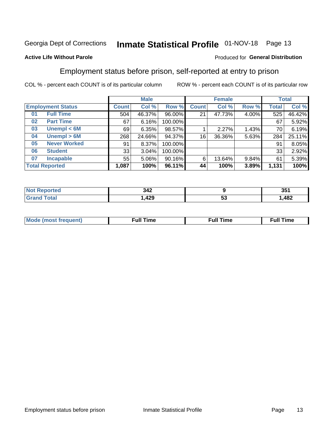# Inmate Statistical Profile 01-NOV-18 Page 13

### **Active Life Without Parole**

### Produced for General Distribution

# Employment status before prison, self-reported at entry to prison

COL % - percent each COUNT is of its particular column

|                           |              | <b>Male</b> |         |              | <b>Female</b> |       |       | <b>Total</b> |
|---------------------------|--------------|-------------|---------|--------------|---------------|-------|-------|--------------|
| <b>Employment Status</b>  | <b>Count</b> | Col %       | Row %   | <b>Count</b> | Col %         | Row % | Total | Col %        |
| <b>Full Time</b><br>01    | 504          | 46.37%      | 96.00%  | 21           | 47.73%        | 4.00% | 525   | 46.42%       |
| <b>Part Time</b><br>02    | 67           | 6.16%       | 100.00% |              |               |       | 67    | 5.92%        |
| Unempl $<$ 6M<br>03       | 69           | 6.35%       | 98.57%  |              | 2.27%         | 1.43% | 70    | 6.19%        |
| Unempl > 6M<br>04         | 268          | 24.66%      | 94.37%  | 16           | 36.36%        | 5.63% | 284   | 25.11%       |
| <b>Never Worked</b><br>05 | 91           | 8.37%       | 100.00% |              |               |       | 91    | 8.05%        |
| <b>Student</b><br>06      | 33           | 3.04%       | 100.00% |              |               |       | 33    | 2.92%        |
| <b>Incapable</b><br>07    | 55           | $5.06\%$    | 90.16%  | 6            | 13.64%        | 9.84% | 61    | 5.39%        |
| <b>Total Reported</b>     | 1,087        | 100%        | 96.11%  | 44           | 100%          | 3.89% | 1,131 | 100%         |

| 342<br>$\sim$                   |    | 25 <sub>4</sub><br>JJ. |
|---------------------------------|----|------------------------|
| 429<br>$\overline{\phantom{a}}$ | JJ | 482                    |

| Mc | ∴ull | ----<br>ıme<br>w |
|----|------|------------------|
|    |      |                  |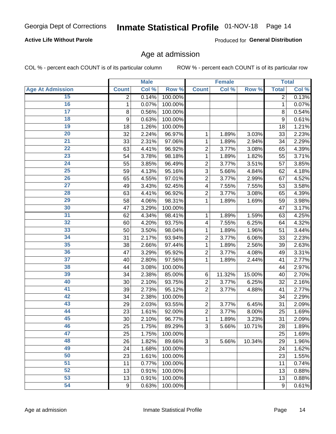## **Active Life Without Parole**

Produced for General Distribution

## Age at admission

COL % - percent each COUNT is of its particular column

|                         |              | <b>Male</b> |         |                | <b>Female</b> |        |              | <b>Total</b> |
|-------------------------|--------------|-------------|---------|----------------|---------------|--------|--------------|--------------|
| <b>Age At Admission</b> | <b>Count</b> | Col %       | Row %   | <b>Count</b>   | Col %         | Row %  | <b>Total</b> | Col %        |
| 15                      | 2            | 0.14%       | 100.00% |                |               |        | 2            | 0.13%        |
| 16                      | 1            | 0.07%       | 100.00% |                |               |        | 1            | 0.07%        |
| $\overline{17}$         | 8            | 0.56%       | 100.00% |                |               |        | 8            | 0.54%        |
| 18                      | 9            | 0.63%       | 100.00% |                |               |        | 9            | 0.61%        |
| 19                      | 18           | 1.26%       | 100.00% |                |               |        | 18           | 1.21%        |
| $\overline{20}$         | 32           | 2.24%       | 96.97%  | 1              | 1.89%         | 3.03%  | 33           | 2.23%        |
| $\overline{21}$         | 33           | 2.31%       | 97.06%  | 1              | 1.89%         | 2.94%  | 34           | 2.29%        |
| 22                      | 63           | 4.41%       | 96.92%  | $\overline{2}$ | 3.77%         | 3.08%  | 65           | 4.39%        |
| 23                      | 54           | 3.78%       | 98.18%  | 1              | 1.89%         | 1.82%  | 55           | 3.71%        |
| 24                      | 55           | 3.85%       | 96.49%  | $\overline{2}$ | 3.77%         | 3.51%  | 57           | 3.85%        |
| $\overline{25}$         | 59           | 4.13%       | 95.16%  | 3              | 5.66%         | 4.84%  | 62           | 4.18%        |
| 26                      | 65           | 4.55%       | 97.01%  | $\overline{2}$ | 3.77%         | 2.99%  | 67           | 4.52%        |
| $\overline{27}$         | 49           | 3.43%       | 92.45%  | 4              | 7.55%         | 7.55%  | 53           | 3.58%        |
| 28                      | 63           | 4.41%       | 96.92%  | $\overline{2}$ | 3.77%         | 3.08%  | 65           | 4.39%        |
| 29                      | 58           | 4.06%       | 98.31%  | 1              | 1.89%         | 1.69%  | 59           | 3.98%        |
| 30                      | 47           | 3.29%       | 100.00% |                |               |        | 47           | 3.17%        |
| 31                      | 62           | 4.34%       | 98.41%  | 1              | 1.89%         | 1.59%  | 63           | 4.25%        |
| 32                      | 60           | 4.20%       | 93.75%  | 4              | 7.55%         | 6.25%  | 64           | 4.32%        |
| 33                      | 50           | 3.50%       | 98.04%  | 1              | 1.89%         | 1.96%  | 51           | 3.44%        |
| 34                      | 31           | 2.17%       | 93.94%  | $\overline{2}$ | 3.77%         | 6.06%  | 33           | 2.23%        |
| 35                      | 38           | 2.66%       | 97.44%  | 1              | 1.89%         | 2.56%  | 39           | 2.63%        |
| 36                      | 47           | 3.29%       | 95.92%  | $\overline{2}$ | 3.77%         | 4.08%  | 49           | 3.31%        |
| $\overline{37}$         | 40           | 2.80%       | 97.56%  | 1              | 1.89%         | 2.44%  | 41           | 2.77%        |
| 38                      | 44           | 3.08%       | 100.00% |                |               |        | 44           | 2.97%        |
| 39                      | 34           | 2.38%       | 85.00%  | 6              | 11.32%        | 15.00% | 40           | 2.70%        |
| 40                      | 30           | 2.10%       | 93.75%  | $\overline{2}$ | 3.77%         | 6.25%  | 32           | 2.16%        |
| 41                      | 39           | 2.73%       | 95.12%  | $\overline{2}$ | 3.77%         | 4.88%  | 41           | 2.77%        |
| 42                      | 34           | 2.38%       | 100.00% |                |               |        | 34           | 2.29%        |
| 43                      | 29           | 2.03%       | 93.55%  | $\overline{2}$ | 3.77%         | 6.45%  | 31           | 2.09%        |
| 44                      | 23           | 1.61%       | 92.00%  | $\overline{2}$ | 3.77%         | 8.00%  | 25           | 1.69%        |
| 45                      | 30           | 2.10%       | 96.77%  | 1              | 1.89%         | 3.23%  | 31           | 2.09%        |
| 46                      | 25           | 1.75%       | 89.29%  | 3              | 5.66%         | 10.71% | 28           | 1.89%        |
| 47                      | 25           | 1.75%       | 100.00% |                |               |        | 25           | 1.69%        |
| 48                      | 26           | 1.82%       | 89.66%  | 3              | 5.66%         | 10.34% | 29           | 1.96%        |
| 49                      | 24           | 1.68%       | 100.00% |                |               |        | 24           | 1.62%        |
| 50                      | 23           | 1.61%       | 100.00% |                |               |        | 23           | 1.55%        |
| $\overline{51}$         | 11           | 0.77%       | 100.00% |                |               |        | 11           | 0.74%        |
| 52                      | 13           | 0.91%       | 100.00% |                |               |        | 13           | 0.88%        |
| 53                      | 13           | 0.91%       | 100.00% |                |               |        | 13           | 0.88%        |
| 54                      | 9            | 0.63%       | 100.00% |                |               |        | 9            | 0.61%        |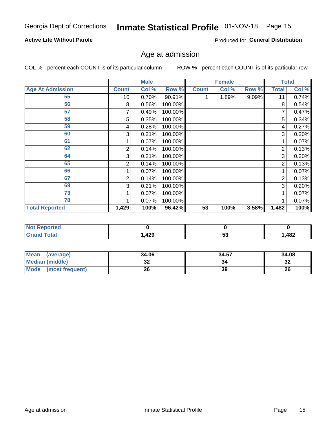## **Active Life Without Parole**

Produced for General Distribution

# Age at admission

COL % - percent each COUNT is of its particular column

|                         |              | <b>Male</b> |         |              | <b>Female</b> |       |       | <b>Total</b> |
|-------------------------|--------------|-------------|---------|--------------|---------------|-------|-------|--------------|
| <b>Age At Admission</b> | <b>Count</b> | Col %       | Row %   | <b>Count</b> | Col %         | Row % | Total | Col %        |
| 55                      | 10           | 0.70%       | 90.91%  |              | 1.89%         | 9.09% | 11    | 0.74%        |
| 56                      | 8            | 0.56%       | 100.00% |              |               |       | 8     | 0.54%        |
| 57                      |              | 0.49%       | 100.00% |              |               |       |       | 0.47%        |
| 58                      | 5            | 0.35%       | 100.00% |              |               |       | 5     | 0.34%        |
| 59                      | 4            | 0.28%       | 100.00% |              |               |       | 4     | 0.27%        |
| 60                      | 3            | 0.21%       | 100.00% |              |               |       | 3     | 0.20%        |
| 61                      |              | 0.07%       | 100.00% |              |               |       |       | 0.07%        |
| 62                      | 2            | 0.14%       | 100.00% |              |               |       | 2     | 0.13%        |
| 64                      | 3            | 0.21%       | 100.00% |              |               |       | 3     | 0.20%        |
| 65                      | 2            | 0.14%       | 100.00% |              |               |       | 2     | 0.13%        |
| 66                      |              | 0.07%       | 100.00% |              |               |       |       | 0.07%        |
| 67                      | 2            | 0.14%       | 100.00% |              |               |       | 2     | 0.13%        |
| 69                      | 3            | 0.21%       | 100.00% |              |               |       | 3     | 0.20%        |
| 73                      |              | 0.07%       | 100.00% |              |               |       |       | 0.07%        |
| 78                      |              | 0.07%       | 100.00% |              |               |       |       | 0.07%        |
| <b>Total Reported</b>   | 1,429        | 100%        | 96.42%  | 53           | 100%          | 3.58% | 1,482 | 100%         |

| <b>Not Reported</b> |      |    |      |
|---------------------|------|----|------|
| Total               | ,429 | Ju | ,482 |

| <b>Mean</b><br>(average) | 34.06 | 34.57 | 34.08    |
|--------------------------|-------|-------|----------|
| <b>Median (middle)</b>   | ◡▵    | 34    | າາ<br>34 |
| Mode<br>(most frequent)  | 26    | 39    | 26       |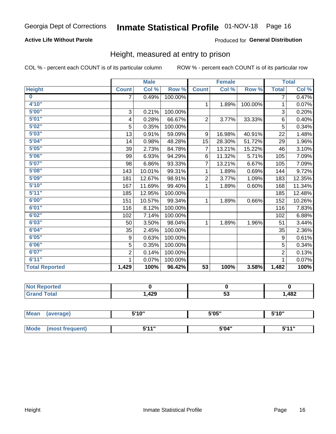## **Active Life Without Parole**

## Produced for General Distribution

## Height, measured at entry to prison

COL % - percent each COUNT is of its particular column

ROW % - percent each COUNT is of its particular row

|                       |                | <b>Male</b> |         |                 | <b>Female</b> |         |                | <b>Total</b> |
|-----------------------|----------------|-------------|---------|-----------------|---------------|---------|----------------|--------------|
| <b>Height</b>         | <b>Count</b>   | Col %       | Row %   | <b>Count</b>    | Col %         | Row %   | <b>Total</b>   | Col %        |
| $\bf{0}$              | $\overline{7}$ | 0.49%       | 100.00% |                 |               |         | 7              | 0.47%        |
| 4'10''                |                |             |         | $\mathbf{1}$    | 1.89%         | 100.00% | 1              | 0.07%        |
| 5'00''                | 3              | 0.21%       | 100.00% |                 |               |         | 3              | 0.20%        |
| 5'01"                 | 4              | 0.28%       | 66.67%  | $\overline{2}$  | 3.77%         | 33.33%  | 6              | 0.40%        |
| 5'02"                 | 5              | 0.35%       | 100.00% |                 |               |         | 5              | 0.34%        |
| 5'03''                | 13             | 0.91%       | 59.09%  | 9               | 16.98%        | 40.91%  | 22             | 1.48%        |
| 5'04"                 | 14             | 0.98%       | 48.28%  | 15              | 28.30%        | 51.72%  | 29             | 1.96%        |
| 5'05"                 | 39             | 2.73%       | 84.78%  | 7               | 13.21%        | 15.22%  | 46             | 3.10%        |
| 5'06''                | 99             | 6.93%       | 94.29%  | 6               | 11.32%        | 5.71%   | 105            | 7.09%        |
| 5'07''                | 98             | 6.86%       | 93.33%  | 7               | 13.21%        | 6.67%   | 105            | 7.09%        |
| 5'08''                | 143            | 10.01%      | 99.31%  | 1               | 1.89%         | 0.69%   | 144            | 9.72%        |
| 5'09''                | 181            | 12.67%      | 98.91%  | $\overline{2}$  | 3.77%         | 1.09%   | 183            | 12.35%       |
| 5'10''                | 167            | 11.69%      | 99.40%  | 1               | 1.89%         | 0.60%   | 168            | 11.34%       |
| 5'11"                 | 185            | 12.95%      | 100.00% |                 |               |         | 185            | 12.48%       |
| 6'00''                | 151            | 10.57%      | 99.34%  | 1               | 1.89%         | 0.66%   | 152            | 10.26%       |
| 6'01''                | 116            | 8.12%       | 100.00% |                 |               |         | 116            | 7.83%        |
| 6'02"                 | 102            | 7.14%       | 100.00% |                 |               |         | 102            | 6.88%        |
| 6'03''                | 50             | 3.50%       | 98.04%  | $\mathbf{1}$    | 1.89%         | 1.96%   | 51             | 3.44%        |
| 6'04"                 | 35             | 2.45%       | 100.00% |                 |               |         | 35             | 2.36%        |
| 6'05"                 | 9              | 0.63%       | 100.00% |                 |               |         | 9              | 0.61%        |
| 6'06''                | 5              | 0.35%       | 100.00% |                 |               |         | 5              | 0.34%        |
| 6'07''                | $\overline{2}$ | 0.14%       | 100.00% |                 |               |         | $\overline{2}$ | 0.13%        |
| 6'11''                |                | 0.07%       | 100.00% |                 |               |         |                | 0.07%        |
| <b>Total Reported</b> | 1,429          | 100%        | 96.42%  | $\overline{53}$ | 100%          | 3.58%   | 1,482          | 100%         |

| <b>rted</b> |      |    |       |
|-------------|------|----|-------|
|             | ,429 | Ju | 482,ا |

| <b>Mean</b> | (average)       | 5'10" | 5'05" | 5'10" |
|-------------|-----------------|-------|-------|-------|
|             |                 |       |       |       |
| <b>Mode</b> | (most frequent) | 544"  | 5'04" | 544"  |

**Inmate Statistical Profile**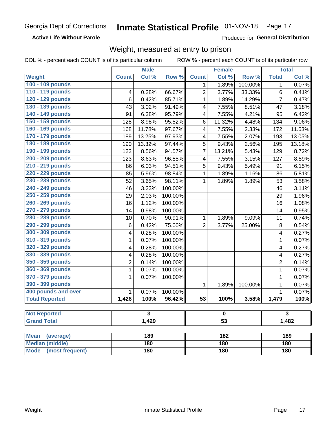## **Active Life Without Parole**

Produced for General Distribution

# Weight, measured at entry to prison

COL % - percent each COUNT is of its particular column

|                                |              | <b>Male</b> |         |                 | <b>Female</b>    |         |                | <b>Total</b> |  |
|--------------------------------|--------------|-------------|---------|-----------------|------------------|---------|----------------|--------------|--|
| <b>Weight</b>                  | <b>Count</b> | Col %       | Row %   | <b>Count</b>    | Col %            | Row %   | <b>Total</b>   | Col %        |  |
| 100 - 109 pounds               |              |             |         | 1               | 1.89%            | 100.00% | 1              | 0.07%        |  |
| 110 - 119 pounds               | 4            | 0.28%       | 66.67%  | $\overline{2}$  | 3.77%            | 33.33%  | 6              | 0.41%        |  |
| 120 - 129 pounds               | 6            | 0.42%       | 85.71%  | 1               | 1.89%            | 14.29%  | $\overline{7}$ | 0.47%        |  |
| 130 - 139 pounds               | 43           | 3.02%       | 91.49%  | 4               | 7.55%            | 8.51%   | 47             | 3.18%        |  |
| 140 - 149 pounds               | 91           | 6.38%       | 95.79%  | 4               | 7.55%            | 4.21%   | 95             | 6.42%        |  |
| 150 - 159 pounds               | 128          | 8.98%       | 95.52%  | 6               | 11.32%           | 4.48%   | 134            | $9.06\%$     |  |
| 160 - 169 pounds               | 168          | 11.78%      | 97.67%  | 4               | 7.55%            | 2.33%   | 172            | 11.63%       |  |
| 170 - 179 pounds               | 189          | 13.25%      | 97.93%  | 4               | 7.55%            | 2.07%   | 193            | 13.05%       |  |
| 180 - 189 pounds               | 190          | 13.32%      | 97.44%  | 5               | 9.43%            | 2.56%   | 195            | 13.18%       |  |
| 190 - 199 pounds               | 122          | 8.56%       | 94.57%  | 7               | 13.21%           | 5.43%   | 129            | 8.72%        |  |
| 200 - 209 pounds               | 123          | 8.63%       | 96.85%  | 4               | 7.55%            | 3.15%   | 127            | 8.59%        |  |
| 210 - 219 pounds               | 86           | 6.03%       | 94.51%  | 5               | 9.43%            | 5.49%   | 91             | 6.15%        |  |
| 220 - 229 pounds               | 85           | 5.96%       | 98.84%  | 1               | 1.89%            | 1.16%   | 86             | 5.81%        |  |
| 230 - 239 pounds               | 52           | 3.65%       | 98.11%  | 1               | 1.89%            | 1.89%   | 53             | 3.58%        |  |
| 240 - 249 pounds               | 46           | 3.23%       | 100.00% |                 |                  |         | 46             | 3.11%        |  |
| 250 - 259 pounds               | 29           | 2.03%       | 100.00% |                 |                  |         | 29             | 1.96%        |  |
| 260 - 269 pounds               | 16           | 1.12%       | 100.00% |                 |                  |         | 16             | 1.08%        |  |
| 270 - 279 pounds               | 14           | 0.98%       | 100.00% |                 |                  |         | 14             | 0.95%        |  |
| 280 - 289 pounds               | 10           | 0.70%       | 90.91%  | 1               | 1.89%            | 9.09%   | 11             | 0.74%        |  |
| 290 - 299 pounds               | $\,6$        | 0.42%       | 75.00%  | $\overline{2}$  | 3.77%            | 25.00%  | 8              | 0.54%        |  |
| 300 - 309 pounds               | 4            | 0.28%       | 100.00% |                 |                  |         | 4              | 0.27%        |  |
| 310 - 319 pounds               | 1            | 0.07%       | 100.00% |                 |                  |         | $\mathbf 1$    | 0.07%        |  |
| 320 - 329 pounds               | 4            | 0.28%       | 100.00% |                 |                  |         | 4              | 0.27%        |  |
| 330 - 339 pounds               | 4            | 0.28%       | 100.00% |                 |                  |         | 4              | 0.27%        |  |
| 350 - 359 pounds               | 2            | 0.14%       | 100.00% |                 |                  |         | $\overline{2}$ | 0.14%        |  |
| 360 - 369 pounds               | 1            | 0.07%       | 100.00% |                 |                  |         | $\mathbf{1}$   | 0.07%        |  |
| 370 - 379 pounds               | 1            | 0.07%       | 100.00% |                 |                  |         | $\mathbf 1$    | 0.07%        |  |
| 390 - 399 pounds               |              |             |         | 1               | 1.89%            | 100.00% | 1              | 0.07%        |  |
| 400 pounds and over            | $\mathbf{1}$ | 0.07%       | 100.00% |                 |                  |         | 1              | 0.07%        |  |
| <b>Total Reported</b>          | 1,426        | 100%        | 96.42%  | $\overline{53}$ | 100%             | 3.58%   | 1,479          | 100%         |  |
|                                |              |             |         |                 |                  |         |                |              |  |
| <b>Not Reported</b>            |              | 3           |         |                 | o                |         |                | 3            |  |
| <b>Grand Total</b>             |              | 1,429       |         | $\overline{53}$ |                  |         |                | 1,482        |  |
|                                |              |             |         |                 |                  |         |                |              |  |
| <b>Mean</b><br>(average)       |              | 189         |         |                 | $\overline{182}$ |         |                | 189          |  |
| <b>Median (middle)</b>         |              | 180         |         |                 | 180              |         |                | 180          |  |
| <b>Mode</b><br>(most frequent) |              | 180         |         | 180             |                  |         | <b>180</b>     |              |  |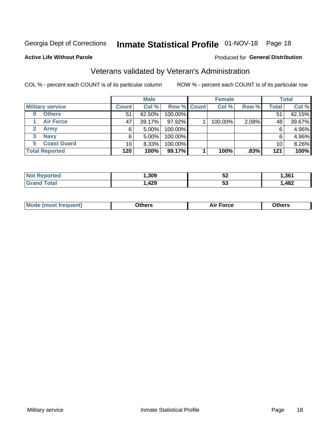# Inmate Statistical Profile 01-NOV-18 Page 18

### **Active Life Without Parole**

### Produced for General Distribution

# Veterans validated by Veteran's Administration

COL % - percent each COUNT is of its particular column

|                               |              | <b>Male</b> |                    | <b>Female</b> |       |              | <b>Total</b> |
|-------------------------------|--------------|-------------|--------------------|---------------|-------|--------------|--------------|
| <b>Military service</b>       | <b>Count</b> | Col %       | <b>Row % Count</b> | Col %         | Row % | <b>Total</b> | Col %        |
| <b>Others</b>                 | 51           | 42.50%      | 100.00%            |               |       | 51           | 42.15%       |
| <b>Air Force</b>              | 47           | 39.17%      | 97.92%             | 100.00%       | 2.08% | 48           | 39.67%       |
| $\mathbf{2}^-$<br><b>Army</b> | 6            | $5.00\%$    | 100.00%            |               |       | 6            | 4.96%        |
| <b>Navy</b><br>3              | 6            | $5.00\%$    | 100.00%            |               |       | 6            | 4.96%        |
| <b>Coast Guard</b><br>5.      | 10           | 8.33%       | 100.00%            |               |       | 10           | 8.26%        |
| <b>Total Reported</b>         | 120          | 100%        | 99.17%             | 100%          | .83%  | 121          | 100%         |

| Reported<br>NOT | ,309 | --<br>₩ | .361 |
|-----------------|------|---------|------|
| $\tau$ otal     | ,429 | ು       | ,482 |

| Mo<br>m | ∖‡h∧rc<br>_____ | $-0.002$<br>28 F T<br>UI CE | <b>Others</b><br>____ |
|---------|-----------------|-----------------------------|-----------------------|
|         |                 |                             |                       |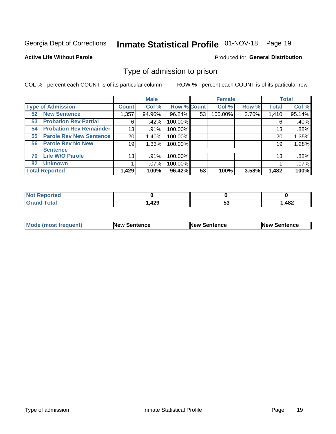# Inmate Statistical Profile 01-NOV-18 Page 19

### **Active Life Without Parole**

### Produced for General Distribution

# Type of admission to prison

COL % - percent each COUNT is of its particular column

|                                      |              | <b>Male</b> |                    |    | <b>Female</b> |       |              | <b>Total</b> |
|--------------------------------------|--------------|-------------|--------------------|----|---------------|-------|--------------|--------------|
| <b>Type of Admission</b>             | <b>Count</b> | Col %       | <b>Row % Count</b> |    | Col %         | Row % | <b>Total</b> | Col %        |
| <b>New Sentence</b><br>52            | 1,357        | 94.96%      | 96.24%             | 53 | 100.00%       | 3.76% | 1,410        | 95.14%       |
| <b>Probation Rev Partial</b><br>53   |              | .42%<br>6   | 100.00%            |    |               |       | 6            | .40%         |
| <b>Probation Rev Remainder</b><br>54 | 13           | $.91\%$     | 100.00%            |    |               |       | 13           | .88%         |
| <b>Parole Rev New Sentence</b><br>55 | 20           | 1.40%       | 100.00%            |    |               |       | 20           | 1.35%        |
| <b>Parole Rev No New</b><br>56       | 19           | 1.33%       | 100.00%            |    |               |       | 19           | 1.28%        |
| <b>Sentence</b>                      |              |             |                    |    |               |       |              |              |
| <b>Life W/O Parole</b><br>70         | 13           | .91%        | 100.00%            |    |               |       | 13           | .88%         |
| <b>Unknown</b><br>82                 |              | .07%        | 100.00%            |    |               |       |              | .07%         |
| <b>Total Reported</b>                | 1,429        | 100%        | 96.42%             | 53 | 100%          | 3.58% | 1,482        | 100%         |

| <b>Not Reported</b> |        |           |      |
|---------------------|--------|-----------|------|
| <b>Grand Total</b>  | 429, ا | - 1<br>◡◡ | ,482 |

| Mode (most frequent) | <b>New Sentence</b> | <b>New Sentence</b> | <b>New Sentence</b> |
|----------------------|---------------------|---------------------|---------------------|
|                      |                     |                     |                     |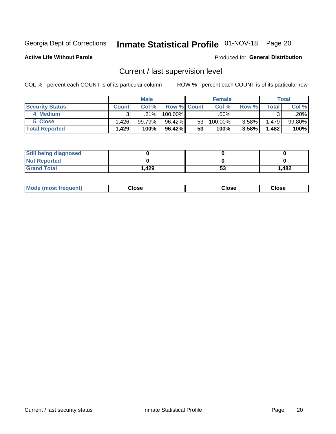# Inmate Statistical Profile 01-NOV-18 Page 20

**Active Life Without Parole** 

### Produced for General Distribution

# Current / last supervision level

COL % - percent each COUNT is of its particular column

|                        |              | <b>Male</b> |                    |    | <b>Female</b> |          |        | <b>Total</b> |
|------------------------|--------------|-------------|--------------------|----|---------------|----------|--------|--------------|
| <b>Security Status</b> | <b>Count</b> | Col%        | <b>Row % Count</b> |    | Col %         | Row %    | Total  | Col %        |
| 4 Medium               | ົ            | .21%        | 100.00%            |    | .00%          |          |        | .20%         |
| 5 Close                | ا 1.426      | 99.79%      | 96.42%             | 53 | 100.00%       | $3.58\%$ | 1,479  | 99.80%       |
| <b>Total Reported</b>  | 1.429        | 100%        | 96.42%             | 53 | 100%          | 3.58%    | 482. ا | 100%         |

| <b>Still being diagnosed</b> |       |    |       |
|------------------------------|-------|----|-------|
| <b>Not Reported</b>          |       |    |       |
| <b>Grand Total</b>           | 1,429 | აა | 1,482 |

| <b>Mode (most frequent)</b> | Close | ∵lose | Close |
|-----------------------------|-------|-------|-------|
|                             |       |       |       |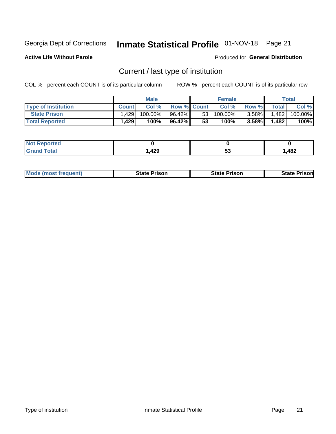# Inmate Statistical Profile 01-NOV-18 Page 21

**Active Life Without Parole** 

Produced for General Distribution

# Current / last type of institution

COL % - percent each COUNT is of its particular column

|                            |              | <b>Male</b> |                    |                 | <b>Female</b> |          |              | <b>Total</b> |
|----------------------------|--------------|-------------|--------------------|-----------------|---------------|----------|--------------|--------------|
| <b>Type of Institution</b> | <b>Count</b> | Col%        | <b>Row % Count</b> |                 | Col %         | Row %    | <b>Total</b> | Col %        |
| <b>State Prison</b>        | 1.429        | 100.00%     | 96.42%             | 53 <sub>1</sub> | 100.00%       | $3.58\%$ | 1,482        | 100.00%      |
| <b>Total Reported</b>      | 1,429        | 100%        | 96.42%             | 53              | $100\%$       | $3.58\%$ | 1.482        | 100%         |

| τeα           |                |     |     |
|---------------|----------------|-----|-----|
| $- - - - - -$ | $\Delta$<br>ᅚᄯ | ີວະ | 482 |

|  | <b>Mode (most frequent)</b> | State Prison | <b>State Prison</b> | <b>State Prison</b> |
|--|-----------------------------|--------------|---------------------|---------------------|
|--|-----------------------------|--------------|---------------------|---------------------|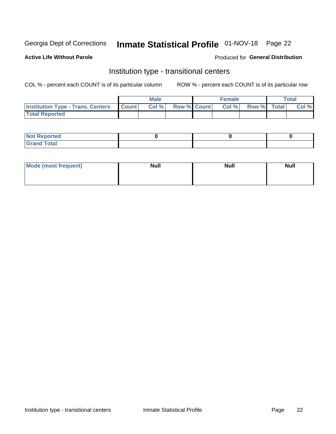# Inmate Statistical Profile 01-NOV-18 Page 22

### **Active Life Without Parole**

### Produced for General Distribution

# Institution type - transitional centers

COL % - percent each COUNT is of its particular column

|                                                | <b>Male</b> |                    | <b>Female</b> |             | <b>Total</b> |
|------------------------------------------------|-------------|--------------------|---------------|-------------|--------------|
| <b>Institution Type - Trans. Centers Count</b> | CoI%        | <b>Row % Count</b> | Col % l       | Row % Total | Col %        |
| <b>Total Reported</b>                          |             |                    |               |             |              |

| <b>Reported</b><br><b>NOT</b><br>$\sim$            |  |  |
|----------------------------------------------------|--|--|
| $f$ $f \circ f \circ f$<br>$C = 1$<br><b>TULAI</b> |  |  |

| Mode (most frequent) | <b>Null</b> | <b>Null</b> | <b>Null</b> |
|----------------------|-------------|-------------|-------------|
|                      |             |             |             |
|                      |             |             |             |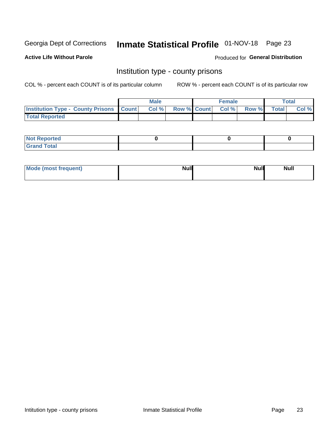# Inmate Statistical Profile 01-NOV-18 Page 23

**Active Life Without Parole** 

Produced for General Distribution

## Institution type - county prisons

COL % - percent each COUNT is of its particular column

|                                                    | <b>Male</b> |       |  | <b>Female</b> |                          |             | <b>Total</b> |       |  |
|----------------------------------------------------|-------------|-------|--|---------------|--------------------------|-------------|--------------|-------|--|
| <b>Institution Type - County Prisons   Count  </b> |             | Col % |  |               | <b>Row % Count Col %</b> | Row % Total |              | Col % |  |
| <b>Total Reported</b>                              |             |       |  |               |                          |             |              |       |  |

| <b>Not</b><br>: Reported<br> |  |  |
|------------------------------|--|--|
| <b>Total</b><br>---          |  |  |

| Mode (most frequent) | <b>Null</b> | <b>Null</b><br><b>Null</b> |
|----------------------|-------------|----------------------------|
|                      |             |                            |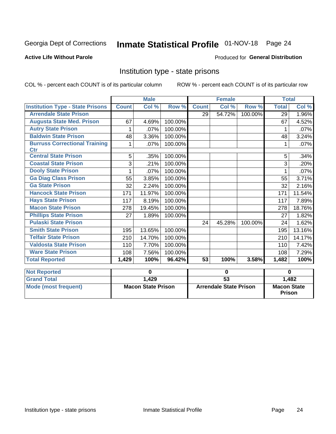# Inmate Statistical Profile 01-NOV-18 Page 24

## **Active Life Without Parole**

### Produced for General Distribution

# Institution type - state prisons

COL % - percent each COUNT is of its particular column

|                                                    | <b>Male</b>               |        |                               | <b>Female</b>   |        |                                     | <b>Total</b> |        |
|----------------------------------------------------|---------------------------|--------|-------------------------------|-----------------|--------|-------------------------------------|--------------|--------|
| <b>Institution Type - State Prisons</b>            | <b>Count</b>              | Col %  | Row %                         | <b>Count</b>    | Col %  | Row %                               | <b>Total</b> | Col %  |
| <b>Arrendale State Prison</b>                      |                           |        |                               | 29              | 54.72% | 100.00%                             | 29           | 1.96%  |
| <b>Augusta State Med. Prison</b>                   | 67                        | 4.69%  | 100.00%                       |                 |        |                                     | 67           | 4.52%  |
| <b>Autry State Prison</b>                          | 1                         | .07%   | 100.00%                       |                 |        |                                     |              | .07%   |
| <b>Baldwin State Prison</b>                        | 48                        | 3.36%  | 100.00%                       |                 |        |                                     | 48           | 3.24%  |
| <b>Burruss Correctional Training</b><br><b>Ctr</b> | 1                         | .07%   | 100.00%                       |                 |        |                                     | 1            | .07%   |
| <b>Central State Prison</b>                        | 5                         | .35%   | 100.00%                       |                 |        |                                     | 5            | .34%   |
| <b>Coastal State Prison</b>                        | 3                         | .21%   | 100.00%                       |                 |        |                                     | 3            | .20%   |
| <b>Dooly State Prison</b>                          | 1                         | .07%   | 100.00%                       |                 |        |                                     |              | .07%   |
| <b>Ga Diag Class Prison</b>                        | 55                        | 3.85%  | 100.00%                       |                 |        |                                     | 55           | 3.71%  |
| <b>Ga State Prison</b>                             | 32                        | 2.24%  | 100.00%                       |                 |        |                                     | 32           | 2.16%  |
| <b>Hancock State Prison</b>                        | 171                       | 11.97% | 100.00%                       |                 |        |                                     | 171          | 11.54% |
| <b>Hays State Prison</b>                           | 117                       | 8.19%  | 100.00%                       |                 |        |                                     | 117          | 7.89%  |
| <b>Macon State Prison</b>                          | 278                       | 19.45% | 100.00%                       |                 |        |                                     | 278          | 18.76% |
| <b>Phillips State Prison</b>                       | 27                        | 1.89%  | 100.00%                       |                 |        |                                     | 27           | 1.82%  |
| <b>Pulaski State Prison</b>                        |                           |        |                               | 24              | 45.28% | 100.00%                             | 24           | 1.62%  |
| <b>Smith State Prison</b>                          | 195                       | 13.65% | 100.00%                       |                 |        |                                     | 195          | 13.16% |
| <b>Telfair State Prison</b>                        | 210                       | 14.70% | 100.00%                       |                 |        |                                     | 210          | 14.17% |
| <b>Valdosta State Prison</b>                       | 110                       | 7.70%  | 100.00%                       |                 |        |                                     | 110          | 7.42%  |
| <b>Ware State Prison</b>                           | 108                       | 7.56%  | 100.00%                       |                 |        |                                     | 108          | 7.29%  |
| <b>Total Reported</b>                              | 1,429                     | 100%   | 96.42%                        | 53              | 100%   | 3.58%                               | 1,482        | 100%   |
| <b>Not Reported</b>                                | 0                         |        | $\mathbf 0$                   |                 |        | $\bf{0}$                            |              |        |
| <b>Grand Total</b>                                 |                           | 1,429  |                               | $\overline{53}$ |        |                                     | 1,482        |        |
| <b>Mode (most frequent)</b>                        | <b>Macon State Prison</b> |        | <b>Arrendale State Prison</b> |                 |        | <b>Macon State</b><br><b>Prison</b> |              |        |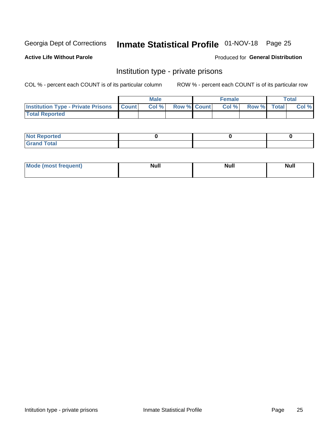# Inmate Statistical Profile 01-NOV-18 Page 25

## **Active Life Without Parole**

### Produced for General Distribution

# Institution type - private prisons

COL % - percent each COUNT is of its particular column

|                                                     | <b>Male</b> |       |                    | <b>Female</b> |       |             | Total |       |
|-----------------------------------------------------|-------------|-------|--------------------|---------------|-------|-------------|-------|-------|
| <b>Institution Type - Private Prisons   Count  </b> |             | Col % | <b>Row % Count</b> |               | Col % | Row % Total |       | Col % |
| <b>Total Reported</b>                               |             |       |                    |               |       |             |       |       |

| Not Reported          |  |  |
|-----------------------|--|--|
| <b>Cotal</b><br>_____ |  |  |

| <b>Mo</b><br>frequent) | <b>Null</b> | <b>Null</b> | . . I *<br><b>IVUII</b> |
|------------------------|-------------|-------------|-------------------------|
|                        |             |             |                         |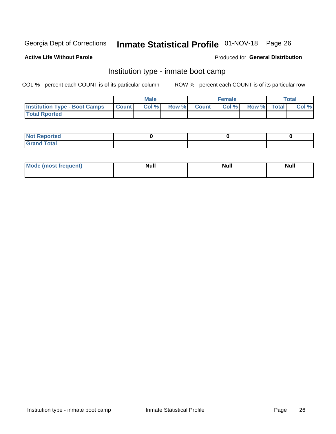# Inmate Statistical Profile 01-NOV-18 Page 26

### **Active Life Without Parole**

### Produced for General Distribution

# Institution type - inmate boot camp

COL % - percent each COUNT is of its particular column

|                                      | <b>Male</b>  |       |               |              | <b>Female</b> | <b>Total</b> |  |       |
|--------------------------------------|--------------|-------|---------------|--------------|---------------|--------------|--|-------|
| <b>Institution Type - Boot Camps</b> | <b>Count</b> | Col % | <b>Row %I</b> | <b>Count</b> | Col %         | Row % Total  |  | Col % |
| <b>Total Rported</b>                 |              |       |               |              |               |              |  |       |

| <b>Not Reported</b>            |  |  |
|--------------------------------|--|--|
| <b>Total</b><br>C <sub>r</sub> |  |  |

| Mod<br>uamo | Nul.<br>$- - - - - -$ | <b>Null</b> | . .<br>uu.<br>------ |
|-------------|-----------------------|-------------|----------------------|
|             |                       |             |                      |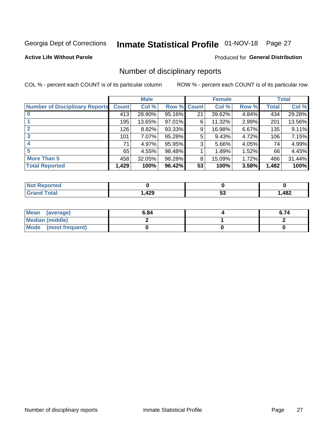# Inmate Statistical Profile 01-NOV-18 Page 27

## **Active Life Without Parole**

### Produced for General Distribution

# Number of disciplinary reports

COL % - percent each COUNT is of its particular column

|                                       | <b>Male</b>  |        |        | <b>Female</b> |        |          | <b>Total</b> |        |
|---------------------------------------|--------------|--------|--------|---------------|--------|----------|--------------|--------|
| <b>Number of Disciplinary Reports</b> | <b>Count</b> | Col %  | Row %  | <b>Count</b>  | Col %  | Row %    | Total        | Col %  |
|                                       | 413          | 28.90% | 95.16% | 21            | 39.62% | 4.84%    | 434          | 29.28% |
|                                       | 195          | 13.65% | 97.01% | 6             | 11.32% | 2.99%    | 201          | 13.56% |
| 2                                     | 126          | 8.82%  | 93.33% | 9             | 16.98% | $6.67\%$ | 135          | 9.11%  |
| 3                                     | 101          | 7.07%  | 95.28% | 5             | 9.43%  | 4.72%    | 106          | 7.15%  |
|                                       | 71           | 4.97%  | 95.95% | 3             | 5.66%  | 4.05%    | 74           | 4.99%  |
| 5                                     | 65           | 4.55%  | 98.48% |               | 1.89%  | 1.52%    | 66           | 4.45%  |
| <b>More Than 5</b>                    | 458          | 32.05% | 98.28% | 8             | 15.09% | 1.72%    | 466          | 31.44% |
| <b>Total Reported</b>                 | 1,429        | 100%   | 96.42% | 53            | 100%   | 3.58%    | 1,482        | 100%   |

| NO<br>тео |      |    |                        |
|-----------|------|----|------------------------|
| Гоtal     | ,429 | JJ | $\overline{AB}$<br>40£ |

| Mean (average)       | 6.84 | 6.74 |
|----------------------|------|------|
| Median (middle)      |      |      |
| Mode (most frequent) |      |      |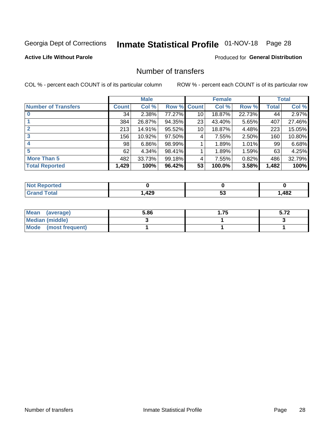# Inmate Statistical Profile 01-NOV-18 Page 28

## **Active Life Without Parole**

### Produced for General Distribution

# Number of transfers

COL % - percent each COUNT is of its particular column

|                            |         | <b>Male</b> |        | <b>Female</b>   |        |          | <b>Total</b> |        |
|----------------------------|---------|-------------|--------|-----------------|--------|----------|--------------|--------|
| <b>Number of Transfers</b> | Count l | Col %       | Row %  | <b>Count</b>    | Col %  | Row %    | <b>Total</b> | Col %  |
|                            | 34      | 2.38%       | 77.27% | 10 <sup>1</sup> | 18.87% | 22.73%   | 44           | 2.97%  |
|                            | 384     | 26.87%      | 94.35% | 23              | 43.40% | 5.65%    | 407          | 27.46% |
| $\mathbf{2}$               | 213     | 14.91%      | 95.52% | 10 <sup>1</sup> | 18.87% | 4.48%    | 223          | 15.05% |
| 3                          | 156     | 10.92%      | 97.50% | 4               | 7.55%  | $2.50\%$ | 160          | 10.80% |
|                            | 98      | $6.86\%$    | 98.99% |                 | 1.89%  | 1.01%    | 99           | 6.68%  |
| 5                          | 62      | 4.34%       | 98.41% |                 | 1.89%  | 1.59%    | 63           | 4.25%  |
| <b>More Than 5</b>         | 482     | 33.73%      | 99.18% | 4               | 7.55%  | 0.82%    | 486          | 32.79% |
| <b>Total Reported</b>      | 1,429   | 100%        | 96.42% | 53              | 100.0% | 3.58%    | 1,482        | 100%   |

| orted<br>NO |     |    |                        |
|-------------|-----|----|------------------------|
| Total       | 429 | JJ | $\overline{AB}$<br>HUŁ |

| Mean (average)       | 5.86 | 1.75 | ີ ບ. / ∠ |
|----------------------|------|------|----------|
| Median (middle)      |      |      |          |
| Mode (most frequent) |      |      |          |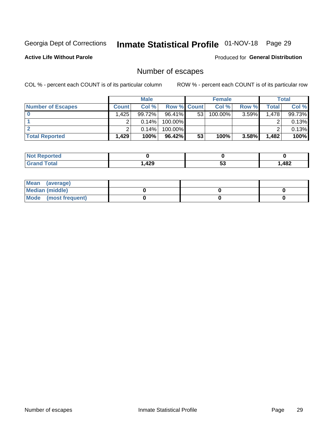# Inmate Statistical Profile 01-NOV-18 Page 29

**Active Life Without Parole** 

Produced for General Distribution

# Number of escapes

COL % - percent each COUNT is of its particular column

|                          | <b>Male</b>  |          |                    | <b>Female</b> |         |       | Total |        |
|--------------------------|--------------|----------|--------------------|---------------|---------|-------|-------|--------|
| <b>Number of Escapes</b> | <b>Count</b> | Col %    | <b>Row % Count</b> |               | Col %   | Row % | Total | Col %  |
|                          | 1.425        | 99.72%   | $96.41\%$          | 53            | 100.00% | 3.59% | 1,478 | 99.73% |
|                          |              | $0.14\%$ | $100.00\%$         |               |         |       |       | 0.13%  |
|                          |              | 0.14%    | $100.00\%$         |               |         |       |       | 0.13%  |
| <b>Total Reported</b>    | .429         | 100%     | $96.42\%$          | 53            | 100%    | 3.58% | 1,482 | 100%   |

| <b>rted</b><br><b>NOT</b> |      |    |      |
|---------------------------|------|----|------|
| <b>Total</b><br>Grand     | ,429 | JJ | ,482 |

| Mean (average)         |  |  |
|------------------------|--|--|
| <b>Median (middle)</b> |  |  |
| Mode (most frequent)   |  |  |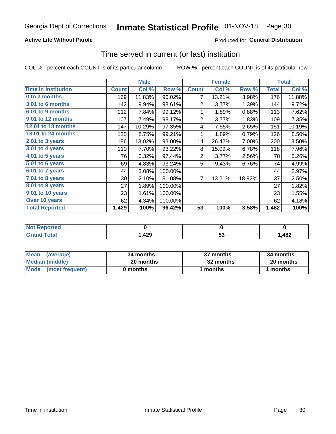## **Active Life Without Parole**

## **Produced for General Distribution**

## Time served in current (or last) institution

COL % - percent each COUNT is of its particular column

|                            |              | <b>Male</b> |           |                | <b>Female</b> |        | <b>Total</b> |        |
|----------------------------|--------------|-------------|-----------|----------------|---------------|--------|--------------|--------|
| <b>Time In Institution</b> | <b>Count</b> | Col %       | Row %     | <b>Count</b>   | Col %         | Row %  | <b>Total</b> | Col %  |
| 0 to 3 months              | 169          | 11.83%      | 96.02%    | 7              | 13.21%        | 3.98%  | 176          | 11.88% |
| <b>3.01 to 6 months</b>    | 142          | 9.94%       | 98.61%    | 2              | 3.77%         | 1.39%  | 144          | 9.72%  |
| 6.01 to 9 months           | 112          | 7.84%       | 99.12%    | 1              | 1.89%         | 0.88%  | 113          | 7.62%  |
| 9.01 to 12 months          | 107          | 7.49%       | 98.17%    | $\overline{2}$ | 3.77%         | 1.83%  | 109          | 7.35%  |
| 12.01 to 18 months         | 147          | 10.29%      | 97.35%    | 4              | 7.55%         | 2.65%  | 151          | 10.19% |
| <b>18.01 to 24 months</b>  | 125          | 8.75%       | 99.21%    | 1              | 1.89%         | 0.79%  | 126          | 8.50%  |
| $2.01$ to 3 years          | 186          | 13.02%      | 93.00%    | 14             | 26.42%        | 7.00%  | 200          | 13.50% |
| $3.01$ to 4 years          | 110          | 7.70%       | 93.22%    | 8              | 15.09%        | 6.78%  | 118          | 7.96%  |
| 4.01 to 5 years            | 76           | 5.32%       | 97.44%    | $\overline{2}$ | 3.77%         | 2.56%  | 78           | 5.26%  |
| 5.01 to 6 years            | 69           | 4.83%       | 93.24%    | 5              | 9.43%         | 6.76%  | 74           | 4.99%  |
| 6.01 to 7 years            | 44           | 3.08%       | 100.00%   |                |               |        | 44           | 2.97%  |
| 7.01 to 8 years            | 30           | 2.10%       | 81.08%    | 7              | 13.21%        | 18.92% | 37           | 2.50%  |
| 8.01 to 9 years            | 27           | 1.89%       | 100.00%   |                |               |        | 27           | 1.82%  |
| 9.01 to 10 years           | 23           | 1.61%       | 100.00%   |                |               |        | 23           | 1.55%  |
| Over 10 years              | 62           | 4.34%       | 100.00%   |                |               |        | 62           | 4.18%  |
| <b>Total Reported</b>      | 1,429        | 100%        | $96.42\%$ | 53             | 100%          | 3.58%  | 1,482        | 100%   |

| <b>Not</b><br>Reported |             |    |      |
|------------------------|-------------|----|------|
| <i>i</i> otal          | 12Q<br>,42J | JJ | ,482 |

| <b>Mean</b><br>(average) | 34 months | 37 months | 34 months |
|--------------------------|-----------|-----------|-----------|
| Median (middle)          | 20 months | 32 months | 20 months |
| Mode (most frequent)     | 0 months  | months    | 1 months  |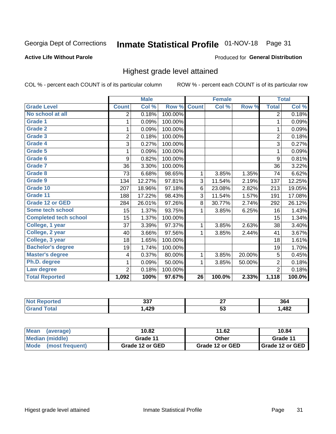# Inmate Statistical Profile 01-NOV-18 Page 31

### **Active Life Without Parole**

### Produced for General Distribution

# Highest grade level attained

COL % - percent each COUNT is of its particular column

|                              |                | <b>Male</b> |         |                 | <b>Female</b> |        |                | <b>Total</b> |
|------------------------------|----------------|-------------|---------|-----------------|---------------|--------|----------------|--------------|
| <b>Grade Level</b>           | <b>Count</b>   | Col %       | Row %   | <b>Count</b>    | Col %         | Row %  | <b>Total</b>   | Col %        |
| No school at all             | 2              | 0.18%       | 100.00% |                 |               |        | $\overline{2}$ | 0.18%        |
| <b>Grade 1</b>               | 1              | 0.09%       | 100.00% |                 |               |        | 1              | 0.09%        |
| <b>Grade 2</b>               | 1              | 0.09%       | 100.00% |                 |               |        | 1              | 0.09%        |
| <b>Grade 3</b>               | $\overline{2}$ | 0.18%       | 100.00% |                 |               |        | $\overline{2}$ | 0.18%        |
| Grade 4                      | 3              | 0.27%       | 100.00% |                 |               |        | 3              | 0.27%        |
| Grade 5                      | 1              | 0.09%       | 100.00% |                 |               |        | 1              | 0.09%        |
| Grade 6                      | 9              | 0.82%       | 100.00% |                 |               |        | 9              | 0.81%        |
| Grade 7                      | 36             | 3.30%       | 100.00% |                 |               |        | 36             | 3.22%        |
| <b>Grade 8</b>               | 73             | 6.68%       | 98.65%  | 1               | 3.85%         | 1.35%  | 74             | 6.62%        |
| Grade 9                      | 134            | 12.27%      | 97.81%  | 3               | 11.54%        | 2.19%  | 137            | 12.25%       |
| Grade 10                     | 207            | 18.96%      | 97.18%  | 6               | 23.08%        | 2.82%  | 213            | 19.05%       |
| Grade 11                     | 188            | 17.22%      | 98.43%  | 3               | 11.54%        | 1.57%  | 191            | 17.08%       |
| <b>Grade 12 or GED</b>       | 284            | 26.01%      | 97.26%  | 8               | 30.77%        | 2.74%  | 292            | 26.12%       |
| Some tech school             | 15             | 1.37%       | 93.75%  | 1               | 3.85%         | 6.25%  | 16             | 1.43%        |
| <b>Completed tech school</b> | 15             | 1.37%       | 100.00% |                 |               |        | 15             | 1.34%        |
| College, 1 year              | 37             | 3.39%       | 97.37%  | 1               | 3.85%         | 2.63%  | 38             | 3.40%        |
| College, 2 year              | 40             | 3.66%       | 97.56%  | 1               | 3.85%         | 2.44%  | 41             | 3.67%        |
| College, 3 year              | 18             | 1.65%       | 100.00% |                 |               |        | 18             | 1.61%        |
| <b>Bachelor's degree</b>     | 19             | 1.74%       | 100.00% |                 |               |        | 19             | 1.70%        |
| <b>Master's degree</b>       | 4              | 0.37%       | 80.00%  | 1               | 3.85%         | 20.00% | 5              | 0.45%        |
| Ph.D. degree                 | 1              | 0.09%       | 50.00%  | 1               | 3.85%         | 50.00% | $\overline{2}$ | 0.18%        |
| Law degree                   | $\overline{2}$ | 0.18%       | 100.00% |                 |               |        | $\overline{2}$ | 0.18%        |
| <b>Total Reported</b>        | 1,092          | 100%        | 97.67%  | $\overline{26}$ | 100.0%        | 2.33%  | 1,118          | 100.0%       |

| rteo<br>NO | າາ<br>JJ. | ~-<br>. . | 364  |
|------------|-----------|-----------|------|
| Utal       | 1,429     | ູບ        | ,482 |

| <b>Mean</b><br>(average) | 10.82           | 11.62           | 10.84           |  |
|--------------------------|-----------------|-----------------|-----------------|--|
| Median (middle)          | Grade 11        | Other           | Grade 11        |  |
| Mode<br>(most frequent)  | Grade 12 or GED | Grade 12 or GED | Grade 12 or GED |  |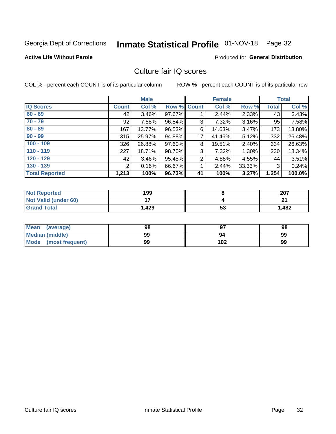# Inmate Statistical Profile 01-NOV-18 Page 32

### **Active Life Without Parole**

### Produced for General Distribution

# Culture fair IQ scores

COL % - percent each COUNT is of its particular column

|                       |              | <b>Male</b> |                    |                | <b>Female</b> |          |              | <b>Total</b> |
|-----------------------|--------------|-------------|--------------------|----------------|---------------|----------|--------------|--------------|
| <b>IQ Scores</b>      | <b>Count</b> | Col %       | <b>Row % Count</b> |                | Col %         | Row %    | <b>Total</b> | Col %        |
| $60 - 69$             | 42           | $3.46\%$    | 97.67%             |                | 2.44%         | 2.33%    | 43           | 3.43%        |
| $70 - 79$             | 92           | 7.58%       | 96.84%             | 3              | 7.32%         | 3.16%    | 95           | 7.58%        |
| $80 - 89$             | 167          | 13.77%      | 96.53%             | 6              | 14.63%        | 3.47%    | 173          | 13.80%       |
| $90 - 99$             | 315          | 25.97%      | 94.88%             | 17             | 41.46%        | 5.12%    | 332          | 26.48%       |
| $100 - 109$           | 326          | 26.88%      | 97.60%             | 8              | 19.51%        | $2.40\%$ | 334          | 26.63%       |
| $110 - 119$           | 227          | 18.71%      | 98.70%             | 3              | 7.32%         | 1.30%    | 230          | 18.34%       |
| $120 - 129$           | 42           | 3.46%       | 95.45%             | $\overline{2}$ | 4.88%         | 4.55%    | 44           | 3.51%        |
| $130 - 139$           | 2            | 0.16%       | 66.67%             | 1              | 2.44%         | 33.33%   | 3            | 0.24%        |
| <b>Total Reported</b> | 1,213        | 100%        | 96.73%             | 41             | 100%          | 3.27%    | 1,254        | 100.0%       |

| <b>Not Reported</b>         | 199            |           | 207   |
|-----------------------------|----------------|-----------|-------|
| <b>Not Valid (under 60)</b> | $\blacksquare$ |           | n,    |
| <b>Grand Total</b>          | 1,429          | r a<br>უკ | 1,482 |

| <b>Mean</b><br>(average) | 98 |     | 98 |
|--------------------------|----|-----|----|
| Median (middle)          | 99 | 94  | 99 |
| Mode (most frequent)     | 99 | 102 | 99 |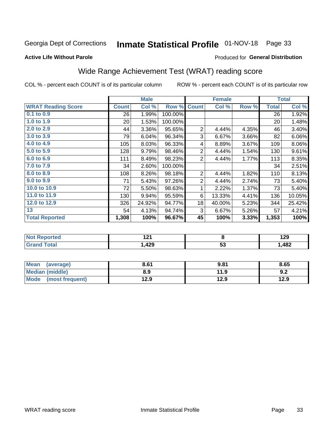# Inmate Statistical Profile 01-NOV-18 Page 33

### **Active Life Without Parole**

### Produced for General Distribution

# Wide Range Achievement Test (WRAT) reading score

COL % - percent each COUNT is of its particular column

|                           |              | <b>Male</b> |         |                | <b>Female</b> |       |              | <b>Total</b> |
|---------------------------|--------------|-------------|---------|----------------|---------------|-------|--------------|--------------|
| <b>WRAT Reading Score</b> | <b>Count</b> | Col %       | Row %   | <b>Count</b>   | Col %         | Row % | <b>Total</b> | Col %        |
| 0.1 to 0.9                | 26           | 1.99%       | 100.00% |                |               |       | 26           | 1.92%        |
| 1.0 to 1.9                | 20           | 1.53%       | 100.00% |                |               |       | 20           | 1.48%        |
| 2.0 to 2.9                | 44           | 3.36%       | 95.65%  | $\overline{2}$ | 4.44%         | 4.35% | 46           | 3.40%        |
| 3.0 to 3.9                | 79           | 6.04%       | 96.34%  | 3              | 6.67%         | 3.66% | 82           | 6.06%        |
| 4.0 to 4.9                | 105          | 8.03%       | 96.33%  | 4              | 8.89%         | 3.67% | 109          | 8.06%        |
| 5.0 to 5.9                | 128          | 9.79%       | 98.46%  | $\overline{2}$ | 4.44%         | 1.54% | 130          | 9.61%        |
| 6.0 to 6.9                | 111          | 8.49%       | 98.23%  | $\overline{2}$ | 4.44%         | 1.77% | 113          | 8.35%        |
| 7.0 to 7.9                | 34           | 2.60%       | 100.00% |                |               |       | 34           | 2.51%        |
| 8.0 to 8.9                | 108          | 8.26%       | 98.18%  | $\overline{2}$ | 4.44%         | 1.82% | 110          | 8.13%        |
| 9.0 to 9.9                | 71           | 5.43%       | 97.26%  | $\overline{2}$ | 4.44%         | 2.74% | 73           | 5.40%        |
| 10.0 to 10.9              | 72           | 5.50%       | 98.63%  | 1              | 2.22%         | 1.37% | 73           | 5.40%        |
| 11.0 to 11.9              | 130          | 9.94%       | 95.59%  | 6              | 13.33%        | 4.41% | 136          | 10.05%       |
| 12.0 to 12.9              | 326          | 24.92%      | 94.77%  | 18             | 40.00%        | 5.23% | 344          | 25.42%       |
| 13                        | 54           | 4.13%       | 94.74%  | 3              | 6.67%         | 5.26% | 57           | 4.21%        |
| <b>Total Reported</b>     | 1,308        | 100%        | 96.67%  | 45             | 100%          | 3.33% | 1,353        | 100%         |
|                           |              |             |         |                |               |       |              |              |
| <b>Not Reported</b>       |              | 121         |         | 8              |               |       | 129          |              |
| <b>Grand Total</b>        |              | 1,429       |         |                | 53            |       |              | 1,482        |

| <b>Mean</b><br>(average)       | 8.61 | 9.81 | 8.65 |
|--------------------------------|------|------|------|
| Median (middle)                | 8.9  | 11.9 | J.Z  |
| <b>Mode</b><br>(most frequent) | 12.9 | 12.9 | 12.9 |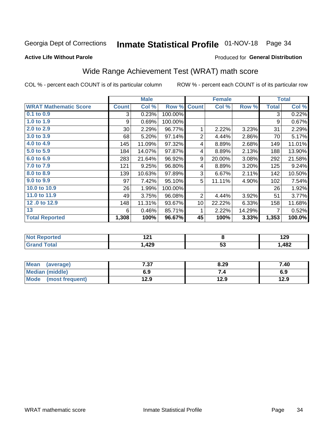# Inmate Statistical Profile 01-NOV-18 Page 34

### **Active Life Without Parole**

### Produced for General Distribution

# Wide Range Achievement Test (WRAT) math score

COL % - percent each COUNT is of its particular column

|                              |              | <b>Male</b> |         |                 | <b>Female</b> |        |              | <b>Total</b> |
|------------------------------|--------------|-------------|---------|-----------------|---------------|--------|--------------|--------------|
| <b>WRAT Mathematic Score</b> | <b>Count</b> | Col %       | Row %   | <b>Count</b>    | Col %         | Row %  | <b>Total</b> | Col %        |
| 0.1 to 0.9                   | 3            | 0.23%       | 100.00% |                 |               |        | 3            | 0.22%        |
| 1.0 to 1.9                   | 9            | 0.69%       | 100.00% |                 |               |        | 9            | 0.67%        |
| 2.0 to 2.9                   | $30$         | 2.29%       | 96.77%  | 1               | 2.22%         | 3.23%  | 31           | 2.29%        |
| 3.0 to 3.9                   | 68           | 5.20%       | 97.14%  | $\overline{2}$  | 4.44%         | 2.86%  | 70           | 5.17%        |
| 4.0 to 4.9                   | 145          | 11.09%      | 97.32%  | 4               | 8.89%         | 2.68%  | 149          | 11.01%       |
| 5.0 to 5.9                   | 184          | 14.07%      | 97.87%  | 4               | 8.89%         | 2.13%  | 188          | 13.90%       |
| 6.0 to 6.9                   | 283          | 21.64%      | 96.92%  | 9               | 20.00%        | 3.08%  | 292          | 21.58%       |
| 7.0 to 7.9                   | 121          | 9.25%       | 96.80%  | 4               | 8.89%         | 3.20%  | 125          | 9.24%        |
| 8.0 to 8.9                   | 139          | 10.63%      | 97.89%  | 3               | 6.67%         | 2.11%  | 142          | 10.50%       |
| 9.0 to 9.9                   | 97           | 7.42%       | 95.10%  | 5               | 11.11%        | 4.90%  | 102          | 7.54%        |
| 10.0 to 10.9                 | 26           | 1.99%       | 100.00% |                 |               |        | 26           | 1.92%        |
| 11.0 to 11.9                 | 49           | 3.75%       | 96.08%  | 2               | 4.44%         | 3.92%  | 51           | 3.77%        |
| 12.0 to 12.9                 | 148          | 11.31%      | 93.67%  | 10 <sup>1</sup> | 22.22%        | 6.33%  | 158          | 11.68%       |
| 13                           | 6            | 0.46%       | 85.71%  | 1               | 2.22%         | 14.29% | 7            | 0.52%        |
| <b>Total Reported</b>        | 1,308        | 100%        | 96.67%  | 45              | 100%          | 3.33%  | 1,353        | 100.0%       |
|                              |              |             |         |                 |               |        |              |              |
|                              |              |             |         |                 |               |        |              |              |

| <b>Not</b><br>⊀eported | ה ה<br>. |         | 100<br>123 |
|------------------------|----------|---------|------------|
| <b>cotal</b>           | ,429     | -0<br>◡ | ,482       |

| <b>Mean</b><br>(average)       | 7.27<br>יני | 8.29 | 7.40 |
|--------------------------------|-------------|------|------|
| Median (middle)                | 6.9         |      | 6.9  |
| <b>Mode</b><br>(most frequent) | 12.9        | 12.9 | 12.9 |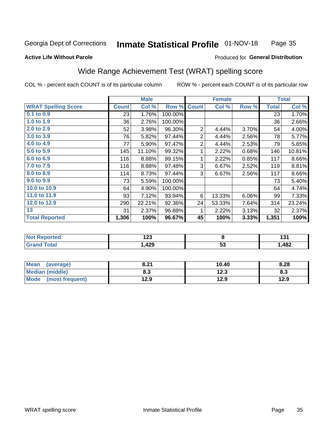#### **Inmate Statistical Profile 01-NOV-18** Page 35

### **Active Life Without Parole**

### Produced for General Distribution

# Wide Range Achievement Test (WRAT) spelling score

COL % - percent each COUNT is of its particular column

|                            |              | <b>Male</b> |         |                | <b>Female</b>   |       |              | <b>Total</b> |
|----------------------------|--------------|-------------|---------|----------------|-----------------|-------|--------------|--------------|
| <b>WRAT Spelling Score</b> | <b>Count</b> | Col %       | Row %   | <b>Count</b>   | Col %           | Row % | <b>Total</b> | Col %        |
| 0.1 to 0.9                 | 23           | 1.76%       | 100.00% |                |                 |       | 23           | 1.70%        |
| 1.0 to 1.9                 | 36           | 2.76%       | 100.00% |                |                 |       | 36           | 2.66%        |
| 2.0 to 2.9                 | 52           | 3.98%       | 96.30%  | $\overline{2}$ | 4.44%           | 3.70% | 54           | 4.00%        |
| 3.0 to 3.9                 | 76           | 5.82%       | 97.44%  | $\overline{2}$ | 4.44%           | 2.56% | 78           | 5.77%        |
| 4.0 to 4.9                 | 77           | 5.90%       | 97.47%  | $\overline{2}$ | 4.44%           | 2.53% | 79           | 5.85%        |
| 5.0 to 5.9                 | 145          | 11.10%      | 99.32%  | 1              | 2.22%           | 0.68% | 146          | 10.81%       |
| 6.0 to 6.9                 | 116          | 8.88%       | 99.15%  | 1              | 2.22%           | 0.85% | 117          | 8.66%        |
| 7.0 to 7.9                 | 116          | 8.88%       | 97.48%  | 3              | 6.67%           | 2.52% | 119          | 8.81%        |
| 8.0 to 8.9                 | 114          | 8.73%       | 97.44%  | 3              | 6.67%           | 2.56% | 117          | 8.66%        |
| 9.0 to 9.9                 | 73           | 5.59%       | 100.00% |                |                 |       | 73           | 5.40%        |
| 10.0 to 10.9               | 64           | 4.90%       | 100.00% |                |                 |       | 64           | 4.74%        |
| 11.0 to 11.9               | 93           | 7.12%       | 93.94%  | 6              | 13.33%          | 6.06% | 99           | 7.33%        |
| 12.0 to 12.9               | 290          | 22.21%      | 92.36%  | 24             | 53.33%          | 7.64% | 314          | 23.24%       |
| 13                         | 31           | 2.37%       | 96.88%  | 1              | 2.22%           | 3.13% | 32           | 2.37%        |
| <b>Total Reported</b>      | 1,306        | 100%        | 96.67%  | 45             | 100%            | 3.33% | 1,351        | 100%         |
|                            |              |             |         |                |                 |       |              |              |
| <b>Not Reported</b>        |              | 123         |         |                | 8               |       |              | 131          |
| <b>Grand Total</b>         |              | 1,429       |         |                | $\overline{53}$ |       |              | 1,482        |
|                            |              |             |         |                |                 |       |              |              |

| <b>Mean</b><br>(average) | 8.21 | 10.40 | 8.28 |
|--------------------------|------|-------|------|
| <b>Median (middle)</b>   | 8.3  | 12.3  | ი.ა  |
| Mode (most frequent)     | 12.9 | 12.9  | 12.9 |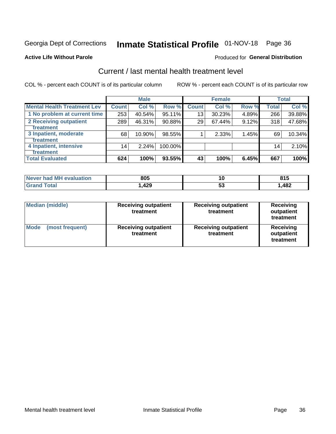# Inmate Statistical Profile 01-NOV-18 Page 36

### **Active Life Without Parole**

## **Produced for General Distribution**

# Current / last mental health treatment level

COL % - percent each COUNT is of its particular column

|                                    |              | <b>Male</b> |         |                    | <b>Female</b> |       |                 | <b>Total</b> |
|------------------------------------|--------------|-------------|---------|--------------------|---------------|-------|-----------------|--------------|
| <b>Mental Health Treatment Lev</b> | <b>Count</b> | Col %       | Row %   | Count <sup>1</sup> | Col%          | Row % | <b>Total</b>    | Col %        |
| 1 No problem at current time       | 253          | 40.54%      | 95.11%  | 13                 | 30.23%        | 4.89% | 266             | 39.88%       |
| 2 Receiving outpatient             | 289          | 46.31%      | 90.88%  | 29                 | 67.44%        | 9.12% | 318             | 47.68%       |
| <b>Treatment</b>                   |              |             |         |                    |               |       |                 |              |
| 3 Inpatient, moderate              | 68           | 10.90%      | 98.55%  |                    | 2.33%         | 1.45% | 69              | 10.34%       |
| <b>Treatment</b>                   |              |             |         |                    |               |       |                 |              |
| 4 Inpatient, intensive             | 14           | 2.24%       | 100.00% |                    |               |       | 14 <sub>1</sub> | 2.10%        |
| <b>Treatment</b>                   |              |             |         |                    |               |       |                 |              |
| <b>Total Evaluated</b>             | 624          | 100%        | 93.55%  | 43                 | 100%          | 6.45% | 667             | 100%         |

| Never had MH evaluation | 805   | Ю  | 04I<br><b></b> |
|-------------------------|-------|----|----------------|
| Total                   | 1,429 | vu | ,482           |

| <b>Median (middle)</b>         | <b>Receiving outpatient</b><br>treatment | <b>Receiving outpatient</b><br>treatment | <b>Receiving</b><br>outpatient<br>treatment |
|--------------------------------|------------------------------------------|------------------------------------------|---------------------------------------------|
| <b>Mode</b><br>(most frequent) | <b>Receiving outpatient</b><br>treatment | <b>Receiving outpatient</b><br>treatment | <b>Receiving</b><br>outpatient<br>treatment |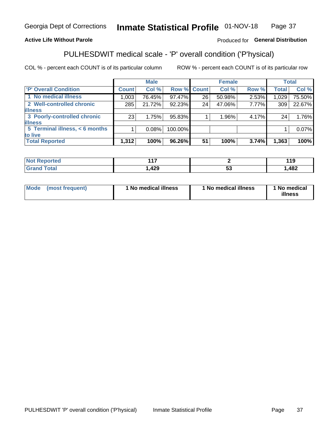#### Inmate Statistical Profile 01-NOV-18 Page 37

## **Active Life Without Parole**

## Produced for General Distribution

# PULHESDWIT medical scale - 'P' overall condition ('P'hysical)

COL % - percent each COUNT is of its particular column

|                                |       | <b>Male</b> |             |    | <b>Female</b> |       |              | <b>Total</b> |
|--------------------------------|-------|-------------|-------------|----|---------------|-------|--------------|--------------|
| 'P' Overall Condition          | Count | Col %       | Row % Count |    | Col %         | Row % | <b>Total</b> | Col %        |
| 1 No medical illness           | 1,003 | 76.45%      | 97.47%      | 26 | 50.98%        | 2.53% | 1,029        | 75.50%       |
| 2 Well-controlled chronic      | 285   | 21.72%      | 92.23%      | 24 | 47.06%        | 7.77% | 309          | 22.67%       |
| <b>illness</b>                 |       |             |             |    |               |       |              |              |
| 3 Poorly-controlled chronic    | 23    | 1.75%       | 95.83%      |    | 1.96%         | 4.17% | 24           | 1.76%        |
| <b>illness</b>                 |       |             |             |    |               |       |              |              |
| 5 Terminal illness, < 6 months |       | 0.08%       | 100.00%     |    |               |       |              | 0.07%        |
| to live                        |       |             |             |    |               |       |              |              |
| <b>Total Reported</b>          | 1,312 | 100%        | 96.26%      | 51 | 100%          | 3.74% | 1,363        | 100%         |

|       | .         |    | - 44<br>. . |
|-------|-----------|----|-------------|
| _____ | 0 מ<br>ᅚᄼ | J. | ,482        |

| <b>Mode</b> | (most frequent) | 1 No medical illness | 1 No medical illness | 1 No medical<br>illness |
|-------------|-----------------|----------------------|----------------------|-------------------------|
|-------------|-----------------|----------------------|----------------------|-------------------------|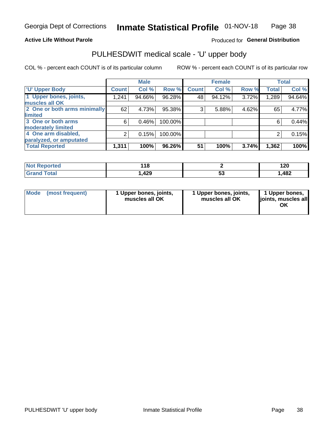## **Active Life Without Parole**

## Produced for General Distribution

# PULHESDWIT medical scale - 'U' upper body

COL % - percent each COUNT is of its particular column

|                              |                | <b>Male</b> |         |              | <b>Female</b> |       |              | <b>Total</b> |
|------------------------------|----------------|-------------|---------|--------------|---------------|-------|--------------|--------------|
| <b>'U' Upper Body</b>        | <b>Count</b>   | Col %       | Row %   | <b>Count</b> | Col %         | Row % | <b>Total</b> | Col %        |
| 1 Upper bones, joints,       | 1,241          | 94.66%      | 96.28%  | 48           | 94.12%        | 3.72% | 1,289        | 94.64%       |
| muscles all OK               |                |             |         |              |               |       |              |              |
| 2 One or both arms minimally | 62             | 4.73%       | 95.38%  | 3            | 5.88%         | 4.62% | 65           | 4.77%        |
| <b>limited</b>               |                |             |         |              |               |       |              |              |
| 3 One or both arms           | 6              | 0.46%       | 100.00% |              |               |       | 6            | 0.44%        |
| <b>moderately limited</b>    |                |             |         |              |               |       |              |              |
| 4 One arm disabled,          | $\overline{2}$ | 0.15%       | 100.00% |              |               |       | 2            | 0.15%        |
| paralyzed, or amputated      |                |             |         |              |               |       |              |              |
| <b>Total Reported</b>        | 1,311          | 100%        | 96.26%  | 51           | 100%          | 3.74% | 1,362        | 100%         |

| <b>Not Reported</b> | .     |    | 100  |
|---------------------|-------|----|------|
| ⋯                   | - 1 0 |    | 14 U |
| Total               | ,429  | vu | ,482 |

| Mode | (most frequent) | 1 Upper bones, joints,<br>muscles all OK | 1 Upper bones, joints,<br>muscles all OK | 1 Upper bones,<br>ljoints, muscles all<br>OK |
|------|-----------------|------------------------------------------|------------------------------------------|----------------------------------------------|
|------|-----------------|------------------------------------------|------------------------------------------|----------------------------------------------|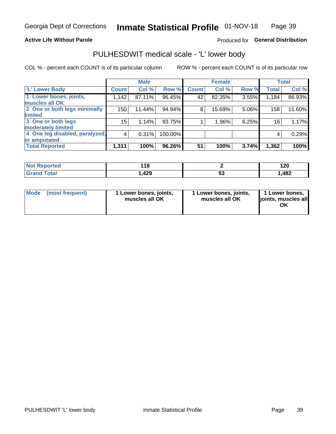## **Active Life Without Parole**

## Produced for General Distribution

# PULHESDWIT medical scale - 'L' lower body

COL % - percent each COUNT is of its particular column

|                                |                | <b>Male</b> |         |              | <b>Female</b> |       |              | <b>Total</b> |
|--------------------------------|----------------|-------------|---------|--------------|---------------|-------|--------------|--------------|
| 'L' Lower Body                 | <b>Count</b>   | Col %       | Row %   | <b>Count</b> | Col %         | Row % | <b>Total</b> | Col %        |
| 1 Lower bones, joints,         | 1,142          | 87.11%      | 96.45%  | 42           | 82.35%        | 3.55% | 1,184        | 86.93%       |
| muscles all OK                 |                |             |         |              |               |       |              |              |
| 2 One or both legs minimally   | 150            | 11.44%      | 94.94%  | 8            | 15.69%        | 5.06% | 158          | 11.60%       |
| limited                        |                |             |         |              |               |       |              |              |
| 3 One or both legs             | $15\,$         | 1.14%       | 93.75%  |              | 1.96%         | 6.25% | 16           | 1.17%        |
| moderately limited             |                |             |         |              |               |       |              |              |
| 4 One leg disabled, paralyzed, | $\overline{4}$ | 0.31%       | 100.00% |              |               |       | 4            | 0.29%        |
| or amputated                   |                |             |         |              |               |       |              |              |
| <b>Total Reported</b>          | 1,311          | 100%        | 96.26%  | 51           | 100%          | 3.74% | 1,362        | 100%         |

| <b>Not Reported</b> | 1 A C<br>. . |    | הר ו<br>14 U |
|---------------------|--------------|----|--------------|
| <b>Total</b>        | ,429         | vu | ,482         |

| Mode | (most frequent) | 1 Lower bones, joints,<br>muscles all OK | 1 Lower bones, joints,<br>muscles all OK | 1 Lower bones,<br>ljoints, muscles all<br>OK |
|------|-----------------|------------------------------------------|------------------------------------------|----------------------------------------------|
|------|-----------------|------------------------------------------|------------------------------------------|----------------------------------------------|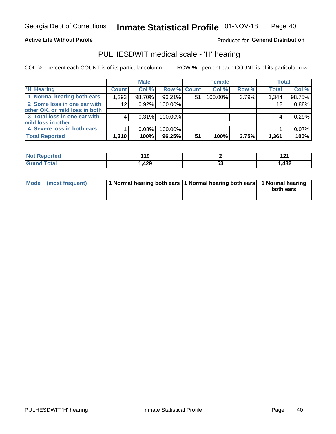## **Active Life Without Parole**

Produced for General Distribution

# PULHESDWIT medical scale - 'H' hearing

COL % - percent each COUNT is of its particular column

|                                |              | <b>Male</b> |             |    | <b>Female</b> |       | <b>Total</b> |        |
|--------------------------------|--------------|-------------|-------------|----|---------------|-------|--------------|--------|
| <b>H' Hearing</b>              | <b>Count</b> | Col %       | Row % Count |    | Col %         | Row % | <b>Total</b> | Col %  |
| 1 Normal hearing both ears     | 1,293        | 98.70%      | 96.21%      | 51 | 100.00%       | 3.79% | 1,344        | 98.75% |
| 2 Some loss in one ear with    | 12           | 0.92%       | 100.00%     |    |               |       | 12           | 0.88%  |
| other OK, or mild loss in both |              |             |             |    |               |       |              |        |
| 3 Total loss in one ear with   | 4            | 0.31%       | 100.00%     |    |               |       | 4            | 0.29%  |
| mild loss in other             |              |             |             |    |               |       |              |        |
| 4 Severe loss in both ears     |              | 0.08%       | 100.00%     |    |               |       |              | 0.07%  |
| <b>Total Reported</b>          | 1,310        | 100%        | 96.25%      | 51 | 100%          | 3.75% | 1,361        | 100%   |

| <b>Not</b><br>ported | ้ 19       |    | $\sim$<br>14 I<br>--- |
|----------------------|------------|----|-----------------------|
| $\sim$ 10            | ה ה<br>76J | Jú | ,482                  |

| Mode (most frequent) | 1 Normal hearing both ears 1 Normal hearing both ears 1 Normal hearing | both ears |
|----------------------|------------------------------------------------------------------------|-----------|
|                      |                                                                        |           |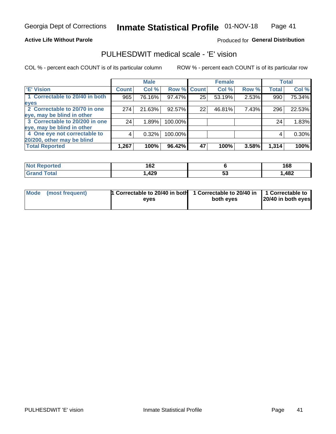## **Active Life Without Parole**

## Produced for General Distribution

# PULHESDWIT medical scale - 'E' vision

COL % - percent each COUNT is of its particular column

|                                |              | <b>Male</b> |             |    | <b>Female</b> |       |              | <b>Total</b> |
|--------------------------------|--------------|-------------|-------------|----|---------------|-------|--------------|--------------|
| <b>E' Vision</b>               | <b>Count</b> | Col %       | Row % Count |    | Col %         | Row % | <b>Total</b> | Col %        |
| 1 Correctable to 20/40 in both | 965          | 76.16%      | $97.47\%$   | 25 | 53.19%        | 2.53% | 990          | 75.34%       |
| eyes                           |              |             |             |    |               |       |              |              |
| 2 Correctable to 20/70 in one  | 274          | 21.63%      | 92.57%      | 22 | 46.81%        | 7.43% | 296          | 22.53%       |
| eye, may be blind in other     |              |             |             |    |               |       |              |              |
| 3 Correctable to 20/200 in one | 24           | 1.89%       | 100.00%     |    |               |       | 24           | 1.83%        |
| eye, may be blind in other     |              |             |             |    |               |       |              |              |
| 4 One eye not correctable to   | 4            | 0.32%       | 100.00%     |    |               |       | 4            | 0.30%        |
| 20/200, other may be blind     |              |             |             |    |               |       |              |              |
| <b>Total Reported</b>          | 1,267        | 100%        | 96.42%      | 47 | 100%          | 3.58% | 1,314        | 100%         |

| <b>Not Reported</b>   | ィムク<br>I VZ |    | 168  |
|-----------------------|-------------|----|------|
| <b>Total</b><br>Grand | ,429        | Je | ,482 |

| Mode (most frequent) | 1 Correctable to 20/40 in both<br>eves | 1 Correctable to 20/40 in   1 Correctable to<br>both eyes | 20/40 in both eyes |
|----------------------|----------------------------------------|-----------------------------------------------------------|--------------------|
|                      |                                        |                                                           |                    |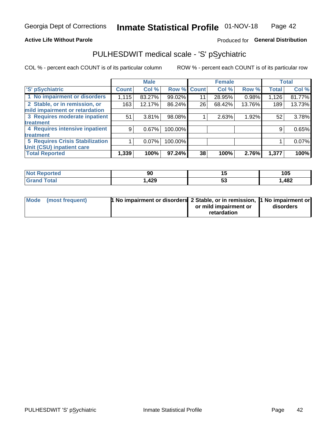## **Active Life Without Parole**

## Produced for General Distribution

# PULHESDWIT medical scale - 'S' pSychiatric

COL % - percent each COUNT is of its particular column

|                                        |              | <b>Male</b> |         |             | <b>Female</b> |        |              | <b>Total</b> |
|----------------------------------------|--------------|-------------|---------|-------------|---------------|--------|--------------|--------------|
| 'S' pSychiatric                        | <b>Count</b> | Col %       |         | Row % Count | Col %         | Row %  | <b>Total</b> | Col %        |
| 1 No impairment or disorders           | 1,115        | 83.27%      | 99.02%  | 11          | 28.95%        | 0.98%  | 1,126        | 81.77%       |
| 2 Stable, or in remission, or          | 163          | 12.17%      | 86.24%  | 26          | 68.42%        | 13.76% | 189          | 13.73%       |
| mild impairment or retardation         |              |             |         |             |               |        |              |              |
| 3 Requires moderate inpatient          | 51           | 3.81%       | 98.08%  |             | 2.63%         | 1.92%  | 52           | 3.78%        |
| <b>treatment</b>                       |              |             |         |             |               |        |              |              |
| 4 Requires intensive inpatient         | 9            | 0.67%       | 100.00% |             |               |        | 9            | 0.65%        |
| treatment                              |              |             |         |             |               |        |              |              |
| <b>5 Requires Crisis Stabilization</b> |              | $0.07\%$    | 100.00% |             |               |        |              | 0.07%        |
| Unit (CSU) inpatient care              |              |             |         |             |               |        |              |              |
| <b>Total Reported</b>                  | 1,339        | 100%        | 97.24%  | 38          | 100%          | 2.76%  | 1,377        | 100%         |

| <b>Reported</b><br><b>NOT</b> | ັບ  | יי | 105   |
|-------------------------------|-----|----|-------|
| <b>Total</b>                  | 429 | ◡  | .482، |

| Mode (most frequent) | <b>1 No impairment or disorders 2 Stable, or in remission, 1 No impairment or</b> |                       |           |
|----------------------|-----------------------------------------------------------------------------------|-----------------------|-----------|
|                      |                                                                                   | or mild impairment or | disorders |
|                      |                                                                                   | retardation           |           |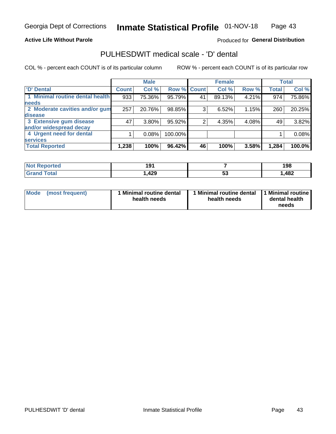## **Active Life Without Parole**

## Produced for General Distribution

# PULHESDWIT medical scale - 'D' dental

COL % - percent each COUNT is of its particular column

|                                 |              | <b>Male</b> |         |              | <b>Female</b> |       |              | <b>Total</b> |
|---------------------------------|--------------|-------------|---------|--------------|---------------|-------|--------------|--------------|
| <b>D'</b> Dental                | <b>Count</b> | Col %       | Row %   | <b>Count</b> | Col %         | Row % | <b>Total</b> | Col %        |
| 1 Minimal routine dental health | 933          | 75.36%      | 95.79%  | 41           | 89.13%        | 4.21% | 974          | 75.86%       |
| <b>needs</b>                    |              |             |         |              |               |       |              |              |
| 2 Moderate cavities and/or gum  | 257          | 20.76%      | 98.85%  | 3            | 6.52%         | 1.15% | 260          | 20.25%       |
| disease                         |              |             |         |              |               |       |              |              |
| 3 Extensive gum disease         | 47           | $3.80\%$    | 95.92%  | ⌒            | 4.35%         | 4.08% | 49           | 3.82%        |
| and/or widespread decay         |              |             |         |              |               |       |              |              |
| 4 Urgent need for dental        |              | 0.08%       | 100.00% |              |               |       |              | 0.08%        |
| <b>services</b>                 |              |             |         |              |               |       |              |              |
| <b>Total Reported</b>           | 1,238        | 100%        | 96.42%  | 46           | 100%          | 3.58% | 1,284        | 100.0%       |

| <b>Not Reported</b> | . O. 4<br>. J |    | 198  |
|---------------------|---------------|----|------|
| Total<br>Grar<br>no | ,429          | JJ | ,482 |

| <b>Mode</b> | (most frequent) | <b>Minimal routine dental</b><br>health needs | 1 Minimal routine dental   1 Minimal routine  <br>health needs | dental health<br>needs |
|-------------|-----------------|-----------------------------------------------|----------------------------------------------------------------|------------------------|
|-------------|-----------------|-----------------------------------------------|----------------------------------------------------------------|------------------------|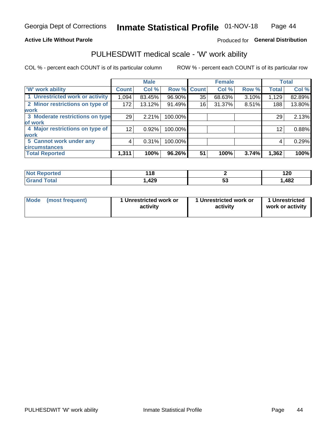## **Active Life Without Parole**

## Produced for General Distribution

## PULHESDWIT medical scale - 'W' work ability

COL % - percent each COUNT is of its particular column

|                                 |                 | <b>Male</b> |         |             | <b>Female</b> |       |              | <b>Total</b> |
|---------------------------------|-----------------|-------------|---------|-------------|---------------|-------|--------------|--------------|
| <b>W' work ability</b>          | <b>Count</b>    | Col %       |         | Row % Count | Col %         | Row % | <b>Total</b> | Col %        |
| 1 Unrestricted work or activity | 1,094           | 83.45%      | 96.90%  | 35          | 68.63%        | 3.10% | 1,129        | 82.89%       |
| 2 Minor restrictions on type of | 172             | 13.12%      | 91.49%  | 16          | 31.37%        | 8.51% | 188          | 13.80%       |
| <b>work</b>                     |                 |             |         |             |               |       |              |              |
| 3 Moderate restrictions on type | 29              | 2.21%       | 100.00% |             |               |       | 29           | 2.13%        |
| lof work                        |                 |             |         |             |               |       |              |              |
| 4 Major restrictions on type of | 12 <sub>1</sub> | 0.92%       | 100.00% |             |               |       | 12           | 0.88%        |
| <b>work</b>                     |                 |             |         |             |               |       |              |              |
| 5 Cannot work under any         | 4               | 0.31%       | 100.00% |             |               |       | 4            | 0.29%        |
| <b>circumstances</b>            |                 |             |         |             |               |       |              |              |
| <b>Total Reported</b>           | 1,311           | 100%        | 96.26%  | 51          | 100%          | 3.74% | 1,362        | 100%         |

| $N$<br><b>Reported</b> | 440<br>.<br>$\sim$ |   | חה ו<br>14V |
|------------------------|--------------------|---|-------------|
| <b>Total</b><br>Gra    | ,429               | v | ,482        |

| Mode (most frequent) | 1 Unrestricted work or | 1 Unrestricted work or | 1 Unrestricted   |
|----------------------|------------------------|------------------------|------------------|
|                      | activity               | activity               | work or activity |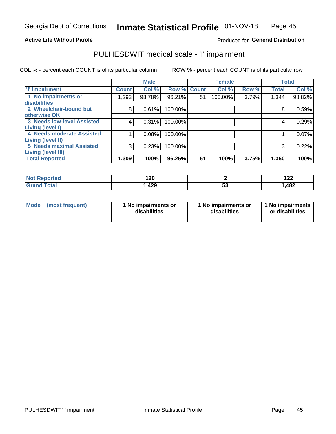## **Active Life Without Parole**

## Produced for General Distribution

# PULHESDWIT medical scale - 'I' impairment

COL % - percent each COUNT is of its particular column ROW % - percent each COUNT is of its particular row

|                                   |              | <b>Male</b> |             |    | <b>Female</b> |       |              | <b>Total</b> |
|-----------------------------------|--------------|-------------|-------------|----|---------------|-------|--------------|--------------|
| <b>T' Impairment</b>              | <b>Count</b> | Col %       | Row % Count |    | Col %         | Row % | <b>Total</b> | Col %        |
| 1 No impairments or               | 293. ا       | 98.78%      | 96.21%      | 51 | 100.00%       | 3.79% | 1,344        | 98.82%       |
| <b>disabilities</b>               |              |             |             |    |               |       |              |              |
| 2 Wheelchair-bound but            | 8            | 0.61%       | 100.00%     |    |               |       | 8            | 0.59%        |
| otherwise OK                      |              |             |             |    |               |       |              |              |
| <b>3 Needs low-level Assisted</b> | 4            | 0.31%       | 100.00%     |    |               |       | 4            | 0.29%        |
| Living (level I)                  |              |             |             |    |               |       |              |              |
| 4 Needs moderate Assisted         |              | 0.08%       | 100.00%     |    |               |       |              | 0.07%        |
| Living (level II)                 |              |             |             |    |               |       |              |              |
| <b>5 Needs maximal Assisted</b>   | 3            | 0.23%       | 100.00%     |    |               |       | 3            | 0.22%        |
| <b>Living (level III)</b>         |              |             |             |    |               |       |              |              |
| <b>Total Reported</b>             | 1,309        | 100%        | 96.25%      | 51 | 100%          | 3.75% | 1,360        | 100%         |

| eported?     | າດ<br>1 Z U |    | 10a<br>175 |
|--------------|-------------|----|------------|
| <b>cotal</b> | ,429        | JJ | ,482       |

| Mode | (most frequent) | 1 No impairments or<br>disabilities | 1 No impairments or<br>disabilities | 1 No impairments<br>or disabilities |
|------|-----------------|-------------------------------------|-------------------------------------|-------------------------------------|
|------|-----------------|-------------------------------------|-------------------------------------|-------------------------------------|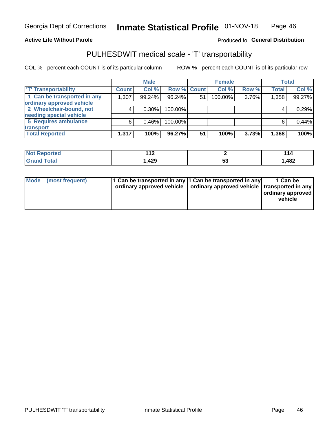### **Active Life Without Parole**

## Produced fo General Distribution

# PULHESDWIT medical scale - 'T' transportability

COL % - percent each COUNT is of its particular column

|                             |              | <b>Male</b> |             |    | <b>Female</b> |       |              | <b>Total</b> |
|-----------------------------|--------------|-------------|-------------|----|---------------|-------|--------------|--------------|
| <b>T' Transportability</b>  | <b>Count</b> | Col %       | Row % Count |    | Col %         | Row % | <b>Total</b> | Col %        |
| 1 Can be transported in any | 1,307        | 99.24%      | 96.24%      | 51 | 100.00%       | 3.76% | 1,358        | 99.27%       |
| ordinary approved vehicle   |              |             |             |    |               |       |              |              |
| 2 Wheelchair-bound, not     |              | $0.30\%$    | 100.00%     |    |               |       |              | 0.29%        |
| needing special vehicle     |              |             |             |    |               |       |              |              |
| 5 Requires ambulance        | 6            | 0.46%       | 100.00%     |    |               |       |              | 0.44%        |
| transport                   |              |             |             |    |               |       |              |              |
| <b>Total Reported</b>       | 1,317        | 100%        | 96.27%      | 51 | 100%          | 3.73% | 1,368        | 100%         |

| eported | $\overline{A}$<br>. . |         | 114  |
|---------|-----------------------|---------|------|
|         | ,429                  | ÷<br>JJ | ,482 |

| Mode (most frequent) | 1 Can be transported in any 1 Can be transported in any | ordinary approved vehicle   ordinary approved vehicle   transported in any | 1 Can be<br>ordinary approved<br>vehicle |
|----------------------|---------------------------------------------------------|----------------------------------------------------------------------------|------------------------------------------|
|                      |                                                         |                                                                            |                                          |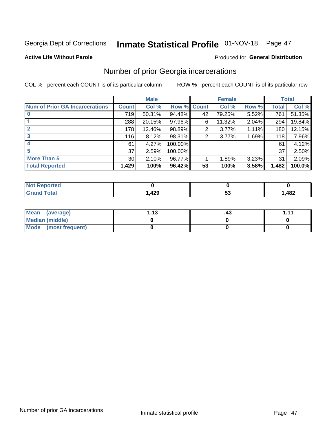# Inmate Statistical Profile 01-NOV-18 Page 47

### **Active Life Without Parole**

### Produced for General Distribution

# Number of prior Georgia incarcerations

COL % - percent each COUNT is of its particular column

|                                       |                 | <b>Male</b> |         |              | <b>Female</b> |       |       | <b>Total</b> |
|---------------------------------------|-----------------|-------------|---------|--------------|---------------|-------|-------|--------------|
| <b>Num of Prior GA Incarcerations</b> | <b>Count</b>    | Col %       | Row %   | <b>Count</b> | Col %         | Row % | Total | Col %        |
|                                       | 719             | 50.31%      | 94.48%  | 42           | 79.25%        | 5.52% | 761   | 51.35%       |
|                                       | 288             | 20.15%      | 97.96%  | 6            | 11.32%        | 2.04% | 294   | 19.84%       |
|                                       | 178             | 12.46%      | 98.89%  | 2            | 3.77%         | 1.11% | 180   | 12.15%       |
| 3                                     | 116             | 8.12%       | 98.31%  | 2            | 3.77%         | 1.69% | 118   | 7.96%        |
| 4                                     | 61              | 4.27%       | 100.00% |              |               |       | 61    | 4.12%        |
| 5                                     | 37              | 2.59%       | 100.00% |              |               |       | 37    | 2.50%        |
| <b>More Than 5</b>                    | 30 <sub>1</sub> | 2.10%       | 96.77%  |              | 1.89%         | 3.23% | 31    | 2.09%        |
| <b>Total Reported</b>                 | 1,429           | 100%        | 96.42%  | 53           | 100%          | 3.58% | 1,482 | 100.0%       |

| ortea<br>N                      |           |          |
|---------------------------------|-----------|----------|
| <b>otal</b><br>$\mathbf{v}$ and | A00<br>ᅲᆇ | <br>,482 |

| Mean (average)       | 1 1 2 | .43 | 444 |
|----------------------|-------|-----|-----|
| Median (middle)      |       |     |     |
| Mode (most frequent) |       |     |     |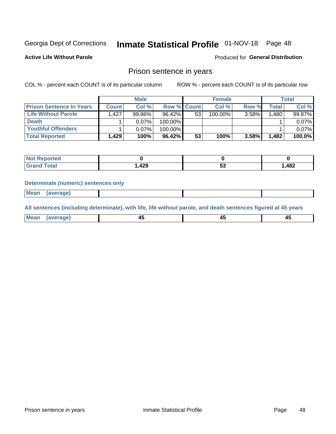#### Inmate Statistical Profile 01-NOV-18 Page 48

**Active Life Without Parole** 

Produced for General Distribution

## Prison sentence in years

COL % - percent each COUNT is of its particular column

ROW % - percent each COUNT is of its particular row

|                                 | <b>Male</b>  |          |                    | <b>Female</b> |         |          | Total              |        |
|---------------------------------|--------------|----------|--------------------|---------------|---------|----------|--------------------|--------|
| <b>Prison Sentence In Years</b> | <b>Count</b> | Col %    | <b>Row % Count</b> |               | Col %   | Row %    | Total <sub>1</sub> | Col %  |
| Life Without Parole             | 1.427        | 99.86%   | 96.42%             | 53            | 100.00% | $3.58\%$ | 1.480              | 99.87% |
| <b>Death</b>                    |              | $0.07\%$ | 100.00%            |               |         |          |                    | 0.07%  |
| Youthful Offenders              |              | $0.07\%$ | 100.00%            |               |         |          |                    | 0.07%  |
| <b>Total Reported</b>           | 1,429        | 100%     | 96.42%             | 53            | 100%    | 3.58%    | 1.482              | 100.0% |

| Reported |        |    |      |
|----------|--------|----|------|
| Total    | 429، ، | vu | ,482 |

### **Determinate (numeric) sentences only**

**Mean** (average)

All sentences (including determinate), with life, life without parole, and death sentences figured at 45 years

| Mean | aranel | . .<br>- ⊷<br>$\sim$ | $\sim$ | ,,, |
|------|--------|----------------------|--------|-----|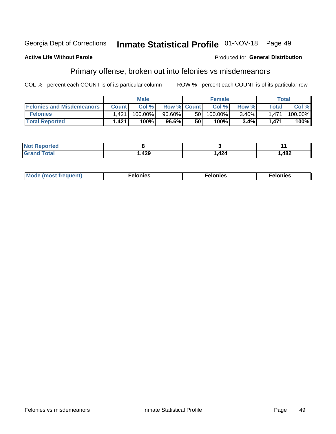#### Georgia Dept of Corrections Inmate Statistical Profile 01-NOV-18 Page 49

### **Active Life Without Parole**

### Produced for General Distribution

# Primary offense, broken out into felonies vs misdemeanors

COL % - percent each COUNT is of its particular column

|                                  | <b>Male</b>  |         |                    | <b>Female</b> |            |          | Total        |            |
|----------------------------------|--------------|---------|--------------------|---------------|------------|----------|--------------|------------|
| <b>Felonies and Misdemeanors</b> | <b>Count</b> | Col%    | <b>Row % Count</b> |               | Col%       | Row %    | <b>Total</b> | Col %      |
| <b>Felonies</b>                  | . 421        | 100.00% | 96.60%             | 50 I          | $100.00\%$ | $3.40\%$ | 1.471        | $100.00\%$ |
| <b>Total Reported</b>            | 1,421        | 100%    | 96.6%              | 50            | 100%       | 3.4%     | 1,471        | 100%       |

| <b>Not Reported</b>   |      |      |       |
|-----------------------|------|------|-------|
| Total<br>Grand<br>uuu | ,429 | .424 | 1,482 |

| $Mc$<br>equent)<br>нез<br>$\sim$<br>. | onies<br>. | <b>onies</b><br>. |
|---------------------------------------|------------|-------------------|
|---------------------------------------|------------|-------------------|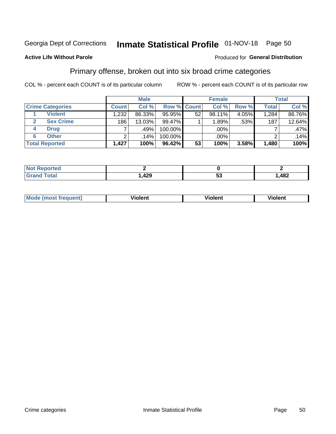# Inmate Statistical Profile 01-NOV-18 Page 50

## **Active Life Without Parole**

### Produced for General Distribution

# Primary offense, broken out into six broad crime categories

COL % - percent each COUNT is of its particular column

|                         | <b>Male</b>      |                  |           | <b>Female</b>      |        |          | <b>Total</b> |        |
|-------------------------|------------------|------------------|-----------|--------------------|--------|----------|--------------|--------|
| <b>Crime Categories</b> | <b>Count</b>     | Col %            |           | <b>Row % Count</b> | Col %  | Row %    | <b>Total</b> | Col %  |
| <b>Violent</b>          | 1,232            | 86.33%           | 95.95%    | 52                 | 98.11% | $4.05\%$ | 1,284        | 86.76% |
| <b>Sex Crime</b>        | 186 <sub>1</sub> | 13.03%           | 99.47%    |                    | 1.89%  | .53%     | 187          | 12.64% |
| <b>Drug</b><br>4        | ⇁                | .49%             | 100.00%   |                    | .00%   |          |              | .47%   |
| <b>Other</b><br>6       | 2                | .14% $^{\prime}$ | 100.00%   |                    | .00%   |          |              | .14%   |
| <b>Total Reported</b>   | 1,427            | 100%             | $96.42\%$ | 53                 | 100%   | 3.58%    | 1,480        | 100%   |

| <b>Continued and</b><br>NOT RADO<br>prtea<br>$\sim$ |             |          |
|-----------------------------------------------------|-------------|----------|
| $T0+0'$                                             | 100<br>,42J | <br>,482 |

| <b>Mode (most frequent)</b> |         |                | --             |
|-----------------------------|---------|----------------|----------------|
|                             | violent | <b>Violent</b> | <b>Violent</b> |
|                             |         |                |                |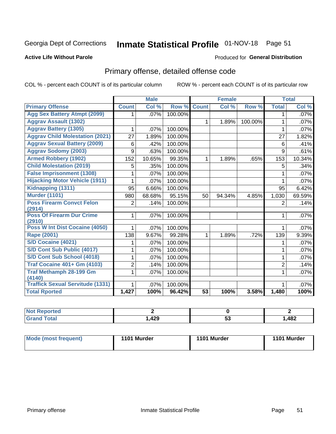# Inmate Statistical Profile 01-NOV-18 Page 51

### **Active Life Without Parole**

### Produced for General Distribution

# Primary offense, detailed offense code

COL % - percent each COUNT is of its particular column

|                                            |              | <b>Male</b> |         |                 | <b>Female</b> |         |                | <b>Total</b> |
|--------------------------------------------|--------------|-------------|---------|-----------------|---------------|---------|----------------|--------------|
| <b>Primary Offense</b>                     | <b>Count</b> | Col %       | Row %   | <b>Count</b>    | Col %         | Row %   | <b>Total</b>   | Col %        |
| <b>Agg Sex Battery Atmpt (2099)</b>        | 1.           | .07%        | 100.00% |                 |               |         | 1.             | .07%         |
| <b>Aggrav Assault (1302)</b>               |              |             |         | $\mathbf{1}$    | 1.89%         | 100.00% | $\mathbf{1}$   | .07%         |
| <b>Aggrav Battery (1305)</b>               | 1            | .07%        | 100.00% |                 |               |         | 1              | .07%         |
| <b>Aggrav Child Molestation (2021)</b>     | 27           | 1.89%       | 100.00% |                 |               |         | 27             | 1.82%        |
| <b>Aggrav Sexual Battery (2009)</b>        | 6            | .42%        | 100.00% |                 |               |         | 6              | .41%         |
| <b>Aggrav Sodomy (2003)</b>                | 9            | .63%        | 100.00% |                 |               |         | 9              | .61%         |
| <b>Armed Robbery (1902)</b>                | 152          | 10.65%      | 99.35%  | $\mathbf 1$     | 1.89%         | .65%    | 153            | 10.34%       |
| <b>Child Molestation (2019)</b>            | 5            | .35%        | 100.00% |                 |               |         | 5              | .34%         |
| <b>False Imprisonment (1308)</b>           |              | .07%        | 100.00% |                 |               |         | 1              | .07%         |
| <b>Hijacking Motor Vehicle (1911)</b>      | 1            | .07%        | 100.00% |                 |               |         | 1              | .07%         |
| Kidnapping (1311)                          | 95           | 6.66%       | 100.00% |                 |               |         | 95             | 6.42%        |
| <b>Murder (1101)</b>                       | 980          | 68.68%      | 95.15%  | 50              | 94.34%        | 4.85%   | 1,030          | 69.59%       |
| <b>Poss Firearm Convct Felon</b>           | 2            | .14%        | 100.00% |                 |               |         | $\overline{2}$ | .14%         |
| (2914)                                     |              |             |         |                 |               |         |                |              |
| <b>Poss Of Firearm Dur Crime</b><br>(2910) | $\mathbf{1}$ | .07%        | 100.00% |                 |               |         | 1              | .07%         |
| Poss W Int Dist Cocaine (4050)             | 1            | .07%        | 100.00% |                 |               |         | 1              | .07%         |
| <b>Rape (2001)</b>                         | 138          | 9.67%       | 99.28%  | $\mathbf{1}$    | 1.89%         | .72%    | 139            | 9.39%        |
| S/D Cocaine (4021)                         | 1            | .07%        | 100.00% |                 |               |         | 1              | .07%         |
| S/D Cont Sub Public (4017)                 | 1            | .07%        | 100.00% |                 |               |         | 1              | $.07\%$      |
| S/D Cont Sub School (4018)                 | 1            | .07%        | 100.00% |                 |               |         | 1              | $.07\%$      |
| <b>Traf Cocaine 401+ Gm (4103)</b>         | 2            | .14%        | 100.00% |                 |               |         | $\overline{2}$ | .14%         |
| <b>Traf Methamph 28-199 Gm</b>             | 1            | .07%        | 100.00% |                 |               |         | 1              | .07%         |
| (4140)                                     |              |             |         |                 |               |         |                |              |
| <b>Traffick Sexual Servitude (1331)</b>    | 1            | .07%        | 100.00% |                 |               |         | 1              | .07%         |
| <b>Total Rported</b>                       | 1,427        | 100%        | 96.42%  | $\overline{53}$ | 100%          | 3.58%   | 1,480          | 100%         |

| <b>NOT</b><br>oortea |             |    |     |
|----------------------|-------------|----|-----|
| υιαι                 | 100<br>,42J | ຈະ | 482 |

| Mode (most frequent) | 1101 Murder | 1101 Murder | 1101 Murder |
|----------------------|-------------|-------------|-------------|
|                      |             |             |             |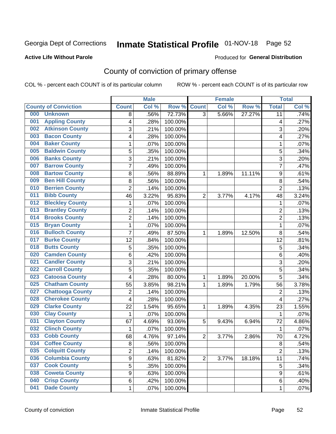# Inmate Statistical Profile 01-NOV-18 Page 52

## **Active Life Without Parole**

### Produced for General Distribution

# County of conviction of primary offense

COL % - percent each COUNT is of its particular column

|                             |                         |                | <b>Male</b> |         |                | <b>Female</b> |        |                | <b>Total</b> |
|-----------------------------|-------------------------|----------------|-------------|---------|----------------|---------------|--------|----------------|--------------|
| <b>County of Conviction</b> |                         | <b>Count</b>   | Col %       | Row %   | <b>Count</b>   | Col %         | Row %  | <b>Total</b>   | Col %        |
| 000                         | <b>Unknown</b>          | 8              | .56%        | 72.73%  | $\overline{3}$ | 5.66%         | 27.27% | 11             | .74%         |
| 001                         | <b>Appling County</b>   | 4              | .28%        | 100.00% |                |               |        | 4              | .27%         |
| 002                         | <b>Atkinson County</b>  | 3              | .21%        | 100.00% |                |               |        | 3              | .20%         |
| 003                         | <b>Bacon County</b>     | 4              | .28%        | 100.00% |                |               |        | 4              | .27%         |
| 004                         | <b>Baker County</b>     | 1              | .07%        | 100.00% |                |               |        | $\mathbf{1}$   | .07%         |
| 005                         | <b>Baldwin County</b>   | 5              | .35%        | 100.00% |                |               |        | 5              | .34%         |
| 006                         | <b>Banks County</b>     | 3              | .21%        | 100.00% |                |               |        | $\overline{3}$ | .20%         |
| 007                         | <b>Barrow County</b>    | 7              | .49%        | 100.00% |                |               |        | $\overline{7}$ | .47%         |
| 008                         | <b>Bartow County</b>    | 8              | .56%        | 88.89%  | 1              | 1.89%         | 11.11% | 9              | .61%         |
| 009                         | <b>Ben Hill County</b>  | $\bf 8$        | .56%        | 100.00% |                |               |        | 8              | .54%         |
| 010                         | <b>Berrien County</b>   | $\overline{2}$ | .14%        | 100.00% |                |               |        | $\overline{2}$ | .13%         |
| 011                         | <b>Bibb County</b>      | 46             | 3.22%       | 95.83%  | $\overline{2}$ | 3.77%         | 4.17%  | 48             | 3.24%        |
| 012                         | <b>Bleckley County</b>  | 1              | .07%        | 100.00% |                |               |        | $\mathbf 1$    | .07%         |
| 013                         | <b>Brantley County</b>  | $\overline{c}$ | .14%        | 100.00% |                |               |        | $\overline{2}$ | .13%         |
| 014                         | <b>Brooks County</b>    | $\overline{2}$ | .14%        | 100.00% |                |               |        | $\overline{2}$ | .13%         |
| 015                         | <b>Bryan County</b>     | 1              | .07%        | 100.00% |                |               |        | 1              | .07%         |
| 016                         | <b>Bulloch County</b>   | $\overline{7}$ | .49%        | 87.50%  | 1              | 1.89%         | 12.50% | 8              | .54%         |
| 017                         | <b>Burke County</b>     | 12             | .84%        | 100.00% |                |               |        | 12             | .81%         |
| 018                         | <b>Butts County</b>     | 5              | .35%        | 100.00% |                |               |        | 5              | .34%         |
| 020                         | <b>Camden County</b>    | 6              | .42%        | 100.00% |                |               |        | 6              | .40%         |
| 021                         | <b>Candler County</b>   | 3              | .21%        | 100.00% |                |               |        | 3              | .20%         |
| 022                         | <b>Carroll County</b>   | 5              | .35%        | 100.00% |                |               |        | 5              | .34%         |
| 023                         | <b>Catoosa County</b>   | 4              | .28%        | 80.00%  | 1              | 1.89%         | 20.00% | $\overline{5}$ | .34%         |
| 025                         | <b>Chatham County</b>   | 55             | 3.85%       | 98.21%  | 1              | 1.89%         | 1.79%  | 56             | 3.78%        |
| 027                         | <b>Chattooga County</b> | $\overline{c}$ | .14%        | 100.00% |                |               |        | $\overline{c}$ | .13%         |
| 028                         | <b>Cherokee County</b>  | 4              | .28%        | 100.00% |                |               |        | 4              | .27%         |
| 029                         | <b>Clarke County</b>    | 22             | 1.54%       | 95.65%  | 1              | 1.89%         | 4.35%  | 23             | 1.55%        |
| 030                         | <b>Clay County</b>      | 1              | .07%        | 100.00% |                |               |        | $\mathbf{1}$   | .07%         |
| 031                         | <b>Clayton County</b>   | 67             | 4.69%       | 93.06%  | 5              | 9.43%         | 6.94%  | 72             | 4.86%        |
| 032                         | <b>Clinch County</b>    | 1              | .07%        | 100.00% |                |               |        | $\mathbf{1}$   | .07%         |
| 033                         | <b>Cobb County</b>      | 68             | 4.76%       | 97.14%  | $\overline{2}$ | 3.77%         | 2.86%  | 70             | 4.72%        |
| 034                         | <b>Coffee County</b>    | 8              | .56%        | 100.00% |                |               |        | 8              | .54%         |
| 035                         | <b>Colquitt County</b>  | 2              | .14%        | 100.00% |                |               |        | $\overline{2}$ | .13%         |
| 036                         | <b>Columbia County</b>  | 9              | .63%        | 81.82%  | $\overline{2}$ | 3.77%         | 18.18% | 11             | .74%         |
| 037                         | <b>Cook County</b>      | $\overline{5}$ | .35%        | 100.00% |                |               |        | 5              | .34%         |
| 038                         | <b>Coweta County</b>    | 9              | .63%        | 100.00% |                |               |        | 9              | .61%         |
| 040                         | <b>Crisp County</b>     | 6              | .42%        | 100.00% |                |               |        | 6              | .40%         |
| 041                         | <b>Dade County</b>      | $\mathbf 1$    | .07%        | 100.00% |                |               |        | 1              | .07%         |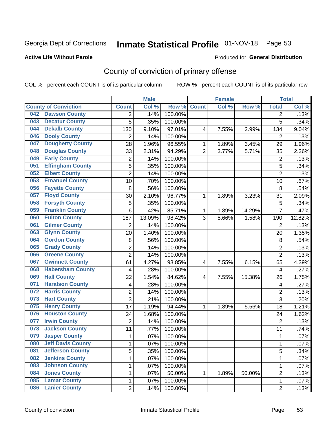# Inmate Statistical Profile 01-NOV-18 Page 53

### **Active Life Without Parole**

### Produced for General Distribution

# County of conviction of primary offense

COL % - percent each COUNT is of its particular column

|                                 |                | <b>Male</b> |         |                | <b>Female</b> |        |                | <b>Total</b> |
|---------------------------------|----------------|-------------|---------|----------------|---------------|--------|----------------|--------------|
| <b>County of Conviction</b>     | <b>Count</b>   | Col %       | Row %   | <b>Count</b>   | Col%          | Row %  | <b>Total</b>   | Col %        |
| <b>Dawson County</b><br>042     | 2              | .14%        | 100.00% |                |               |        | 2              | .13%         |
| <b>Decatur County</b><br>043    | 5              | .35%        | 100.00% |                |               |        | 5              | .34%         |
| <b>Dekalb County</b><br>044     | 130            | 9.10%       | 97.01%  | 4              | 7.55%         | 2.99%  | 134            | 9.04%        |
| <b>Dooly County</b><br>046      | $\overline{2}$ | .14%        | 100.00% |                |               |        | 2              | .13%         |
| <b>Dougherty County</b><br>047  | 28             | 1.96%       | 96.55%  | $\mathbf{1}$   | 1.89%         | 3.45%  | 29             | 1.96%        |
| <b>Douglas County</b><br>048    | 33             | 2.31%       | 94.29%  | $\overline{2}$ | 3.77%         | 5.71%  | 35             | 2.36%        |
| <b>Early County</b><br>049      | $\overline{c}$ | .14%        | 100.00% |                |               |        | $\overline{2}$ | .13%         |
| <b>Effingham County</b><br>051  | 5              | .35%        | 100.00% |                |               |        | 5              | .34%         |
| <b>Elbert County</b><br>052     | $\overline{2}$ | .14%        | 100.00% |                |               |        | $\overline{2}$ | .13%         |
| <b>Emanuel County</b><br>053    | 10             | .70%        | 100.00% |                |               |        | 10             | .67%         |
| <b>Fayette County</b><br>056    | 8              | .56%        | 100.00% |                |               |        | 8              | .54%         |
| <b>Floyd County</b><br>057      | 30             | 2.10%       | 96.77%  | 1              | 1.89%         | 3.23%  | 31             | 2.09%        |
| <b>Forsyth County</b><br>058    | 5              | .35%        | 100.00% |                |               |        | 5              | .34%         |
| <b>Franklin County</b><br>059   | 6              | .42%        | 85.71%  | 1              | 1.89%         | 14.29% | $\overline{7}$ | .47%         |
| <b>Fulton County</b><br>060     | 187            | 13.09%      | 98.42%  | 3              | 5.66%         | 1.58%  | 190            | 12.82%       |
| <b>Gilmer County</b><br>061     | $\overline{2}$ | .14%        | 100.00% |                |               |        | $\overline{2}$ | .13%         |
| <b>Glynn County</b><br>063      | 20             | 1.40%       | 100.00% |                |               |        | 20             | 1.35%        |
| <b>Gordon County</b><br>064     | 8              | .56%        | 100.00% |                |               |        | 8              | .54%         |
| <b>Grady County</b><br>065      | $\overline{2}$ | .14%        | 100.00% |                |               |        | $\overline{2}$ | .13%         |
| <b>Greene County</b><br>066     | $\overline{2}$ | .14%        | 100.00% |                |               |        | $\overline{2}$ | .13%         |
| <b>Gwinnett County</b><br>067   | 61             | 4.27%       | 93.85%  | 4              | 7.55%         | 6.15%  | 65             | 4.39%        |
| <b>Habersham County</b><br>068  | 4              | .28%        | 100.00% |                |               |        | 4              | .27%         |
| <b>Hall County</b><br>069       | 22             | 1.54%       | 84.62%  | 4              | 7.55%         | 15.38% | 26             | 1.75%        |
| <b>Haralson County</b><br>071   | 4              | .28%        | 100.00% |                |               |        | 4              | .27%         |
| <b>Harris County</b><br>072     | 2              | .14%        | 100.00% |                |               |        | $\overline{2}$ | .13%         |
| <b>Hart County</b><br>073       | 3              | .21%        | 100.00% |                |               |        | 3              | .20%         |
| <b>Henry County</b><br>075      | 17             | 1.19%       | 94.44%  | 1              | 1.89%         | 5.56%  | 18             | 1.21%        |
| <b>Houston County</b><br>076    | 24             | 1.68%       | 100.00% |                |               |        | 24             | 1.62%        |
| <b>Irwin County</b><br>077      | $\overline{2}$ | .14%        | 100.00% |                |               |        | $\overline{2}$ | .13%         |
| <b>Jackson County</b><br>078    | 11             | .77%        | 100.00% |                |               |        | 11             | .74%         |
| <b>Jasper County</b><br>079     | $\mathbf{1}$   | .07%        | 100.00% |                |               |        | 1              | .07%         |
| <b>Jeff Davis County</b><br>080 | 1              | .07%        | 100.00% |                |               |        | 1              | $.07\%$      |
| <b>Jefferson County</b><br>081  | 5              | .35%        | 100.00% |                |               |        | 5              | .34%         |
| <b>Jenkins County</b><br>082    | 1              | .07%        | 100.00% |                |               |        | $\mathbf 1$    | .07%         |
| <b>Johnson County</b><br>083    | 1              | .07%        | 100.00% |                |               |        | 1              | .07%         |
| <b>Jones County</b><br>084      | 1              | .07%        | 50.00%  | 1              | 1.89%         | 50.00% | $\overline{2}$ | .13%         |
| <b>Lamar County</b><br>085      | 1              | .07%        | 100.00% |                |               |        | $\mathbf 1$    | .07%         |
| <b>Lanier County</b><br>086     | $\overline{2}$ | .14%        | 100.00% |                |               |        | $\overline{2}$ | .13%         |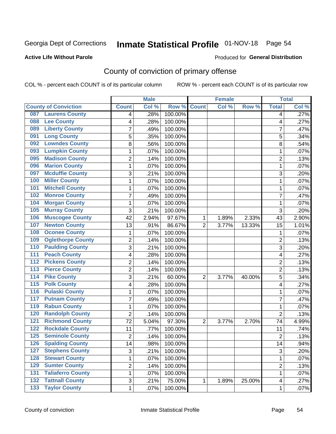# Inmate Statistical Profile 01-NOV-18 Page 54

### **Active Life Without Parole**

### Produced for General Distribution

# County of conviction of primary offense

COL % - percent each COUNT is of its particular column

|                                          |                 | <b>Male</b> |         |                | <b>Female</b> |        |                 | <b>Total</b> |
|------------------------------------------|-----------------|-------------|---------|----------------|---------------|--------|-----------------|--------------|
| <b>County of Conviction</b>              | <b>Count</b>    | Col %       | Row %   | <b>Count</b>   | Col %         | Row %  | <b>Total</b>    | Col %        |
| <b>Laurens County</b><br>087             | 4               | .28%        | 100.00% |                |               |        | 4               | .27%         |
| <b>Lee County</b><br>088                 | 4               | .28%        | 100.00% |                |               |        | 4               | .27%         |
| <b>Liberty County</b><br>089             | 7               | .49%        | 100.00% |                |               |        | 7               | .47%         |
| <b>Long County</b><br>091                | 5               | .35%        | 100.00% |                |               |        | 5               | .34%         |
| <b>Lowndes County</b><br>092             | 8               | .56%        | 100.00% |                |               |        | 8               | .54%         |
| <b>Lumpkin County</b><br>093             | 1               | .07%        | 100.00% |                |               |        | 1               | .07%         |
| <b>Madison County</b><br>095             | $\overline{2}$  | .14%        | 100.00% |                |               |        | $\overline{2}$  | .13%         |
| <b>Marion County</b><br>096              | $\mathbf{1}$    | .07%        | 100.00% |                |               |        | $\mathbf{1}$    | .07%         |
| <b>Mcduffie County</b><br>097            | 3               | .21%        | 100.00% |                |               |        | 3               | .20%         |
| <b>Miller County</b><br>100              | 1               | .07%        | 100.00% |                |               |        | 1               | .07%         |
| <b>Mitchell County</b><br>101            | $\mathbf{1}$    | .07%        | 100.00% |                |               |        | 1               | .07%         |
| <b>Monroe County</b><br>102              | $\overline{7}$  | .49%        | 100.00% |                |               |        | $\overline{7}$  | .47%         |
| <b>Morgan County</b><br>104              | 1               | .07%        | 100.00% |                |               |        | 1               | .07%         |
| <b>Murray County</b><br>105              | 3               | .21%        | 100.00% |                |               |        | 3               | .20%         |
| <b>Muscogee County</b><br>106            | 42              | 2.94%       | 97.67%  | 1              | 1.89%         | 2.33%  | 43              | 2.90%        |
| <b>Newton County</b><br>107              | 13              | .91%        | 86.67%  | $\overline{2}$ | 3.77%         | 13.33% | 15              | 1.01%        |
| <b>Oconee County</b><br>108              | 1               | .07%        | 100.00% |                |               |        | 1               | .07%         |
| <b>Oglethorpe County</b><br>109          | $\overline{2}$  | .14%        | 100.00% |                |               |        | $\overline{2}$  | .13%         |
| <b>Paulding County</b><br>110            | 3               | .21%        | 100.00% |                |               |        | 3               | .20%         |
| <b>Peach County</b><br>111               | 4               | .28%        | 100.00% |                |               |        | 4               | .27%         |
| <b>Pickens County</b><br>112             | $\overline{2}$  | .14%        | 100.00% |                |               |        | $\overline{2}$  | .13%         |
| <b>Pierce County</b><br>113              | $\overline{2}$  | .14%        | 100.00% |                |               |        | $\overline{2}$  | .13%         |
| <b>Pike County</b><br>114                | 3               | .21%        | 60.00%  | $\overline{2}$ | 3.77%         | 40.00% | 5               | .34%         |
| <b>Polk County</b><br>115                | 4               | .28%        | 100.00% |                |               |        | 4               | .27%         |
| <b>Pulaski County</b><br>116             | 1               | .07%        | 100.00% |                |               |        | 1               | .07%         |
| <b>Putnam County</b><br>117              | $\overline{7}$  | .49%        | 100.00% |                |               |        | $\overline{7}$  | .47%         |
| <b>Rabun County</b><br>119               | $\mathbf{1}$    | .07%        | 100.00% |                |               |        | 1               | .07%         |
| <b>Randolph County</b><br>120            | $\overline{2}$  | .14%        | 100.00% |                |               |        | $\overline{2}$  | .13%         |
| <b>Richmond County</b><br>121            | 72              | 5.04%       | 97.30%  | $\overline{2}$ | 3.77%         | 2.70%  | 74              | 4.99%        |
| <b>Rockdale County</b><br>122            | 11              | .77%        | 100.00% |                |               |        | 11              | .74%         |
| <b>Seminole County</b><br>125            | $\overline{2}$  | .14%        | 100.00% |                |               |        | $\overline{2}$  | .13%         |
| 126<br><b>Spalding County</b>            | $\overline{14}$ | .98%        | 100.00% |                |               |        | $\overline{14}$ | .94%         |
| <b>Stephens County</b><br>127            | 3               | .21%        | 100.00% |                |               |        | 3               | .20%         |
| <b>Stewart County</b><br>128             | 1               | .07%        | 100.00% |                |               |        | 1               | .07%         |
| <b>Sumter County</b><br>129              | 2               | .14%        | 100.00% |                |               |        | $\overline{2}$  | .13%         |
| <b>Taliaferro County</b><br>131          | 1               | .07%        | 100.00% |                |               |        | $\mathbf{1}$    | .07%         |
| <b>Tattnall County</b><br>132            | 3               | .21%        | 75.00%  | 1              | 1.89%         | 25.00% | 4               | .27%         |
| <b>Taylor County</b><br>$\overline{133}$ | 1               | .07%        | 100.00% |                |               |        | 1               | .07%         |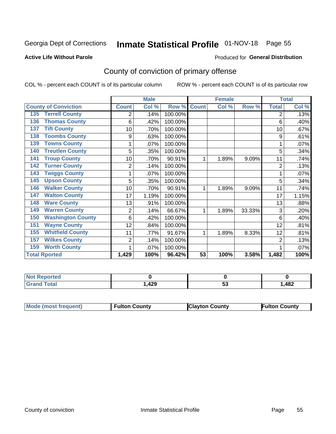# Inmate Statistical Profile 01-NOV-18 Page 55

### **Active Life Without Parole**

## **Produced for General Distribution**

# County of conviction of primary offense

COL % - percent each COUNT is of its particular column

|                                 |                | <b>Male</b> |         |              | <b>Female</b> |        |                | <b>Total</b> |
|---------------------------------|----------------|-------------|---------|--------------|---------------|--------|----------------|--------------|
| <b>County of Conviction</b>     | <b>Count</b>   | Col %       | Row %   | <b>Count</b> | Col %         | Row %  | <b>Total</b>   | Col %        |
| <b>Terrell County</b><br>135    | 2              | .14%        | 100.00% |              |               |        | 2              | .13%         |
| <b>Thomas County</b><br>136     | 6              | .42%        | 100.00% |              |               |        | 6              | .40%         |
| <b>Tift County</b><br>137       | 10             | .70%        | 100.00% |              |               |        | 10             | .67%         |
| <b>Toombs County</b><br>138     | 9              | .63%        | 100.00% |              |               |        | 9              | .61%         |
| <b>Towns County</b><br>139      | 1              | .07%        | 100.00% |              |               |        | $\mathbf 1$    | .07%         |
| <b>Treutlen County</b><br>140   | 5              | .35%        | 100.00% |              |               |        | 5              | .34%         |
| <b>Troup County</b><br>141      | 10             | .70%        | 90.91%  | 1            | 1.89%         | 9.09%  | 11             | .74%         |
| <b>Turner County</b><br>142     | $\overline{2}$ | .14%        | 100.00% |              |               |        | $\overline{2}$ | .13%         |
| <b>Twiggs County</b><br>143     |                | .07%        | 100.00% |              |               |        |                | .07%         |
| <b>Upson County</b><br>145      | 5              | .35%        | 100.00% |              |               |        | 5              | .34%         |
| <b>Walker County</b><br>146     | 10             | .70%        | 90.91%  | 1            | 1.89%         | 9.09%  | 11             | .74%         |
| <b>Walton County</b><br>147     | 17             | 1.19%       | 100.00% |              |               |        | 17             | 1.15%        |
| <b>Ware County</b><br>148       | 13             | .91%        | 100.00% |              |               |        | 13             | .88%         |
| <b>Warren County</b><br>149     | $\overline{2}$ | .14%        | 66.67%  | 1            | 1.89%         | 33.33% | 3              | .20%         |
| <b>Washington County</b><br>150 | 6              | .42%        | 100.00% |              |               |        | 6              | .40%         |
| <b>Wayne County</b><br>151      | 12             | .84%        | 100.00% |              |               |        | 12             | .81%         |
| <b>Whitfield County</b><br>155  | 11             | .77%        | 91.67%  | 1            | 1.89%         | 8.33%  | 12             | .81%         |
| <b>Wilkes County</b><br>157     | 2              | .14%        | 100.00% |              |               |        | 2              | .13%         |
| <b>Worth County</b><br>159      | 1              | .07%        | 100.00% |              |               |        |                | .07%         |
| <b>Total Rported</b>            | 1,429          | 100%        | 96.42%  | 53           | 100%          | 3.58%  | 1,482          | 100%         |

| rreo        |           |    |      |
|-------------|-----------|----|------|
| $C = 4 - 7$ | 00<br>14J | JJ | ,482 |

| Mode (most frequent) | <b>Fulton County</b> | <b>Clayton County</b> | <b>Fulton County</b> |
|----------------------|----------------------|-----------------------|----------------------|
|                      |                      |                       |                      |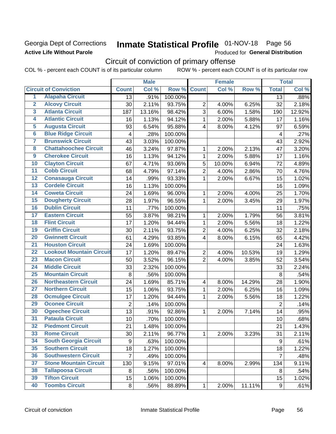## Georgia Dept of Corrections **Active Life Without Parole**

# Inmate Statistical Profile 01-NOV-18 Page 56

Produced for General Distribution

# Circuit of conviction of primary offense

COL % - percent each COUNT is of its particular column ROW % - percent each COUNT is of its particular row

|                         |                                 |                         | <b>Male</b> |         |                         | <b>Female</b> |        |                | <b>Total</b> |
|-------------------------|---------------------------------|-------------------------|-------------|---------|-------------------------|---------------|--------|----------------|--------------|
|                         | <b>Circuit of Conviction</b>    | <b>Count</b>            | Col %       | Row %   | <b>Count</b>            | Col %         | Row %  | <b>Total</b>   | Col %        |
| 1                       | <b>Alapaha Circuit</b>          | $\overline{13}$         | .91%        | 100.00% |                         |               |        | 13             | .88%         |
| $\overline{2}$          | <b>Alcovy Circuit</b>           | 30                      | 2.11%       | 93.75%  | $\overline{2}$          | 4.00%         | 6.25%  | 32             | 2.18%        |
| $\overline{\mathbf{3}}$ | <b>Atlanta Circuit</b>          | 187                     | 13.16%      | 98.42%  | 3                       | 6.00%         | 1.58%  | 190            | 12.92%       |
| 4                       | <b>Atlantic Circuit</b>         | 16                      | 1.13%       | 94.12%  | $\mathbf 1$             | 2.00%         | 5.88%  | 17             | 1.16%        |
| 5                       | <b>Augusta Circuit</b>          | 93                      | 6.54%       | 95.88%  | $\overline{\mathbf{4}}$ | 8.00%         | 4.12%  | 97             | 6.59%        |
| $\overline{6}$          | <b>Blue Ridge Circuit</b>       | $\overline{\mathbf{4}}$ | .28%        | 100.00% |                         |               |        | 4              | .27%         |
| 7                       | <b>Brunswick Circuit</b>        | 43                      | 3.03%       | 100.00% |                         |               |        | 43             | 2.92%        |
| 8                       | <b>Chattahoochee Circuit</b>    | 46                      | 3.24%       | 97.87%  | 1                       | 2.00%         | 2.13%  | 47             | 3.20%        |
| $\overline{9}$          | <b>Cherokee Circuit</b>         | 16                      | 1.13%       | 94.12%  | $\mathbf{1}$            | 2.00%         | 5.88%  | 17             | 1.16%        |
| 10                      | <b>Clayton Circuit</b>          | 67                      | 4.71%       | 93.06%  | 5                       | 10.00%        | 6.94%  | 72             | 4.89%        |
| $\overline{11}$         | <b>Cobb Circuit</b>             | 68                      | 4.79%       | 97.14%  | $\overline{2}$          | 4.00%         | 2.86%  | 70             | 4.76%        |
| 12                      | <b>Conasauga Circuit</b>        | 14                      | .99%        | 93.33%  | $\mathbf{1}$            | 2.00%         | 6.67%  | 15             | 1.02%        |
| 13                      | <b>Cordele Circuit</b>          | 16                      | 1.13%       | 100.00% |                         |               |        | 16             | 1.09%        |
| $\overline{14}$         | <b>Coweta Circuit</b>           | 24                      | 1.69%       | 96.00%  | $\mathbf{1}$            | 2.00%         | 4.00%  | 25             | 1.70%        |
| $\overline{15}$         | <b>Dougherty Circuit</b>        | 28                      | 1.97%       | 96.55%  | $\mathbf{1}$            | 2.00%         | 3.45%  | 29             | 1.97%        |
| 16                      | <b>Dublin Circuit</b>           | 11                      | .77%        | 100.00% |                         |               |        | 11             | .75%         |
| 17                      | <b>Eastern Circuit</b>          | 55                      | 3.87%       | 98.21%  | 1                       | 2.00%         | 1.79%  | 56             | 3.81%        |
| 18                      | <b>Flint Circuit</b>            | 17                      | 1.20%       | 94.44%  | $\mathbf{1}$            | 2.00%         | 5.56%  | 18             | 1.22%        |
| 19                      | <b>Griffin Circuit</b>          | 30                      | 2.11%       | 93.75%  | $\overline{2}$          | 4.00%         | 6.25%  | 32             | 2.18%        |
| $\overline{20}$         | <b>Gwinnett Circuit</b>         | 61                      | 4.29%       | 93.85%  | 4                       | 8.00%         | 6.15%  | 65             | 4.42%        |
| $\overline{21}$         | <b>Houston Circuit</b>          | 24                      | 1.69%       | 100.00% |                         |               |        | 24             | 1.63%        |
| $\overline{22}$         | <b>Lookout Mountain Circuit</b> | 17                      | 1.20%       | 89.47%  | $\overline{2}$          | 4.00%         | 10.53% | 19             | 1.29%        |
| 23                      | <b>Macon Circuit</b>            | 50                      | 3.52%       | 96.15%  | $\overline{2}$          | 4.00%         | 3.85%  | 52             | 3.54%        |
| $\overline{24}$         | <b>Middle Circuit</b>           | 33                      | 2.32%       | 100.00% |                         |               |        | 33             | 2.24%        |
| $\overline{25}$         | <b>Mountain Circuit</b>         | $\,8\,$                 | .56%        | 100.00% |                         |               |        | 8              | .54%         |
| 26                      | <b>Northeastern Circuit</b>     | 24                      | 1.69%       | 85.71%  | $\overline{\mathbf{4}}$ | 8.00%         | 14.29% | 28             | 1.90%        |
| $\overline{27}$         | <b>Northern Circuit</b>         | 15                      | 1.06%       | 93.75%  | $\mathbf{1}$            | 2.00%         | 6.25%  | 16             | 1.09%        |
| 28                      | <b>Ocmulgee Circuit</b>         | 17                      | 1.20%       | 94.44%  | 1                       | 2.00%         | 5.56%  | 18             | 1.22%        |
| 29                      | <b>Oconee Circuit</b>           | $\overline{2}$          | .14%        | 100.00% |                         |               |        | $\overline{2}$ | .14%         |
| 30                      | <b>Ogeechee Circuit</b>         | 13                      | .91%        | 92.86%  | 1                       | 2.00%         | 7.14%  | 14             | .95%         |
| $\overline{31}$         | <b>Pataula Circuit</b>          | 10                      | .70%        | 100.00% |                         |               |        | 10             | .68%         |
| 32                      | <b>Piedmont Circuit</b>         | 21                      | 1.48%       | 100.00% |                         |               |        | 21             | 1.43%        |
| 33                      | <b>Rome Circuit</b>             | 30                      | 2.11%       | 96.77%  | $\mathbf{1}$            | 2.00%         | 3.23%  | 31             | 2.11%        |
| 34                      | <b>South Georgia Circuit</b>    | $\boldsymbol{9}$        | .63%        | 100.00% |                         |               |        | 9              | .61%         |
| 35                      | <b>Southern Circuit</b>         | 18                      | 1.27%       | 100.00% |                         |               |        | 18             | 1.22%        |
| 36                      | <b>Southwestern Circuit</b>     | $\overline{7}$          | .49%        | 100.00% |                         |               |        | $\overline{7}$ | .48%         |
| 37                      | <b>Stone Mountain Circuit</b>   | 130                     | 9.15%       | 97.01%  | 4                       | 8.00%         | 2.99%  | 134            | 9.11%        |
| 38                      | <b>Tallapoosa Circuit</b>       | 8                       | .56%        | 100.00% |                         |               |        | 8              | .54%         |
| 39                      | <b>Tifton Circuit</b>           | 15                      | 1.06%       | 100.00% |                         |               |        | 15             | 1.02%        |
| 40                      | <b>Toombs Circuit</b>           | 8                       | .56%        | 88.89%  | $\mathbf{1}$            | 2.00%         | 11.11% | 9              | .61%         |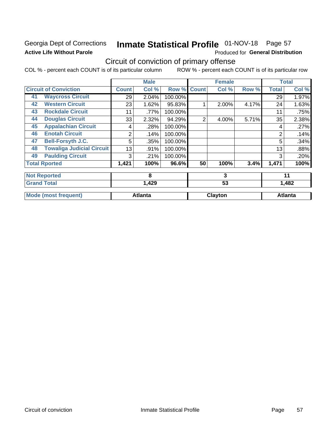# Georgia Dept of Corrections **Active Life Without Parole**

# Inmate Statistical Profile 01-NOV-18 Page 57

Produced for General Distribution

# Circuit of conviction of primary offense

COL % - percent each COUNT is of its particular column ROW % - percent each COUNT is of its particular row

|    |                                  |              | <b>Male</b>    |         |                | <b>Female</b> |       |              | <b>Total</b>   |
|----|----------------------------------|--------------|----------------|---------|----------------|---------------|-------|--------------|----------------|
|    | <b>Circuit of Conviction</b>     | <b>Count</b> | Col %          | Row %   | <b>Count</b>   | Col %         | Row % | <b>Total</b> | Col %          |
| 41 | <b>Waycross Circuit</b>          | 29           | 2.04%          | 100.00% |                |               |       | 29           | 1.97%          |
| 42 | <b>Western Circuit</b>           | 23           | 1.62%          | 95.83%  |                | 2.00%         | 4.17% | 24           | 1.63%          |
| 43 | <b>Rockdale Circuit</b>          | 11           | .77%           | 100.00% |                |               |       | 11           | .75%           |
| 44 | <b>Douglas Circuit</b>           | 33           | 2.32%          | 94.29%  | $\overline{2}$ | 4.00%         | 5.71% | 35           | 2.38%          |
| 45 | <b>Appalachian Circuit</b>       | 4            | .28%           | 100.00% |                |               |       | 4            | .27%           |
| 46 | <b>Enotah Circuit</b>            | 2            | .14%           | 100.00% |                |               |       | 2            | .14%           |
| 47 | <b>Bell-Forsyth J.C.</b>         | 5            | .35%           | 100.00% |                |               |       | 5            | .34%           |
| 48 | <b>Towaliga Judicial Circuit</b> | 13           | .91%           | 100.00% |                |               |       | 13           | .88%           |
| 49 | <b>Paulding Circuit</b>          | 3            | .21%           | 100.00% |                |               |       | 3            | .20%           |
|    | <b>Total Rported</b>             | 1,421        | 100%           | 96.6%   | 50             | 100%          | 3.4%  | 1,471        | 100%           |
|    | <b>Not Reported</b>              |              | 8              |         |                | 3             |       |              | 11             |
|    | <b>Grand Total</b>               |              | 1,429          |         |                | 53            |       |              | 1,482          |
|    | <b>Mode (most frequent)</b>      |              | <b>Atlanta</b> |         |                | Clayton       |       |              | <b>Atlanta</b> |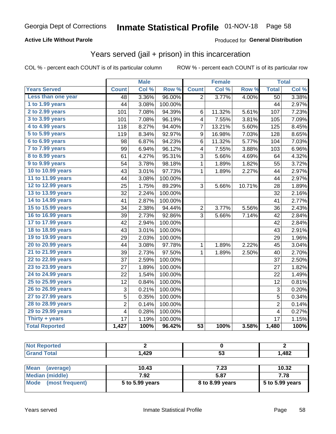## **Active Life Without Parole**

## **Produced for General Distribution**

# Years served (jail + prison) in this incarceration

COL % - percent each COUNT is of its particular column

|                        |                 | <b>Male</b> |                  |                 | <b>Female</b> |        |                | <b>Total</b> |
|------------------------|-----------------|-------------|------------------|-----------------|---------------|--------|----------------|--------------|
| <b>Years Served</b>    | <b>Count</b>    | Col %       | Row <sup>%</sup> | <b>Count</b>    | Col %         | Row %  | <b>Total</b>   | Col %        |
| Less than one year     | $\overline{48}$ | 3.36%       | 96.00%           | $\overline{2}$  | 3.77%         | 4.00%  | 50             | 3.38%        |
| 1 to 1.99 years        | 44              | 3.08%       | 100.00%          |                 |               |        | 44             | 2.97%        |
| 2 to 2.99 years        | 101             | 7.08%       | 94.39%           | 6               | 11.32%        | 5.61%  | 107            | 7.23%        |
| 3 to 3.99 years        | 101             | 7.08%       | 96.19%           | 4               | 7.55%         | 3.81%  | 105            | 7.09%        |
| 4 to 4.99 years        | 118             | 8.27%       | 94.40%           | 7               | 13.21%        | 5.60%  | 125            | 8.45%        |
| 5 to 5.99 years        | 119             | 8.34%       | 92.97%           | 9               | 16.98%        | 7.03%  | 128            | 8.65%        |
| 6 to 6.99 years        | 98              | 6.87%       | 94.23%           | 6               | 11.32%        | 5.77%  | 104            | 7.03%        |
| 7 to 7.99 years        | 99              | 6.94%       | 96.12%           | 4               | 7.55%         | 3.88%  | 103            | 6.96%        |
| <b>8 to 8.99 years</b> | 61              | 4.27%       | 95.31%           | 3               | 5.66%         | 4.69%  | 64             | 4.32%        |
| 9 to 9.99 years        | 54              | 3.78%       | 98.18%           | $\mathbf{1}$    | 1.89%         | 1.82%  | 55             | 3.72%        |
| 10 to 10.99 years      | 43              | 3.01%       | 97.73%           | $\mathbf 1$     | 1.89%         | 2.27%  | 44             | 2.97%        |
| 11 to 11.99 years      | 44              | 3.08%       | 100.00%          |                 |               |        | 44             | 2.97%        |
| 12 to 12.99 years      | 25              | 1.75%       | 89.29%           | 3               | 5.66%         | 10.71% | 28             | 1.89%        |
| 13 to 13.99 years      | 32              | 2.24%       | 100.00%          |                 |               |        | 32             | 2.16%        |
| 14 to 14.99 years      | 41              | 2.87%       | 100.00%          |                 |               |        | 41             | 2.77%        |
| 15 to 15.99 years      | 34              | 2.38%       | 94.44%           | $\overline{c}$  | 3.77%         | 5.56%  | 36             | 2.43%        |
| 16 to 16.99 years      | 39              | 2.73%       | 92.86%           | 3               | 5.66%         | 7.14%  | 42             | 2.84%        |
| 17 to 17.99 years      | 42              | 2.94%       | 100.00%          |                 |               |        | 42             | 2.84%        |
| 18 to 18.99 years      | 43              | 3.01%       | 100.00%          |                 |               |        | 43             | 2.91%        |
| 19 to 19.99 years      | 29              | 2.03%       | 100.00%          |                 |               |        | 29             | 1.96%        |
| 20 to 20.99 years      | 44              | 3.08%       | 97.78%           | $\mathbf{1}$    | 1.89%         | 2.22%  | 45             | 3.04%        |
| 21 to 21.99 years      | 39              | 2.73%       | 97.50%           | 1               | 1.89%         | 2.50%  | 40             | 2.70%        |
| 22 to 22.99 years      | 37              | 2.59%       | 100.00%          |                 |               |        | 37             | 2.50%        |
| 23 to 23.99 years      | 27              | 1.89%       | 100.00%          |                 |               |        | 27             | 1.82%        |
| 24 to 24.99 years      | 22              | 1.54%       | 100.00%          |                 |               |        | 22             | 1.49%        |
| 25 to 25.99 years      | 12              | 0.84%       | 100.00%          |                 |               |        | 12             | 0.81%        |
| 26 to 26.99 years      | 3               | 0.21%       | 100.00%          |                 |               |        | 3              | 0.20%        |
| 27 to 27.99 years      | 5               | 0.35%       | 100.00%          |                 |               |        | $\overline{5}$ | 0.34%        |
| 28 to 28.99 years      | $\overline{c}$  | 0.14%       | 100.00%          |                 |               |        | $\overline{2}$ | 0.14%        |
| 29 to 29.99 years      | 4               | 0.28%       | 100.00%          |                 |               |        | 4              | 0.27%        |
| Thirty + years         | 17              | 1.19%       | 100.00%          |                 |               |        | 17             | 1.15%        |
| <b>Total Reported</b>  | 1,427           | 100%        | 96.42%           | $\overline{53}$ | 100%          | 3.58%  | 1,480          | 100%         |

| <b>Not Reported</b> |       |           |       |
|---------------------|-------|-----------|-------|
| <b>Grand Total</b>  | .,429 | - -<br>ວວ | 1,482 |
|                     |       |           |       |

| Mean<br>(average)    | 10.43           | 7.23            | 10.32             |
|----------------------|-----------------|-----------------|-------------------|
| Median (middle)      | 7.92            | 5.87            | 7.78              |
| Mode (most frequent) | 5 to 5.99 years | 8 to 8.99 years | $5$ to 5.99 years |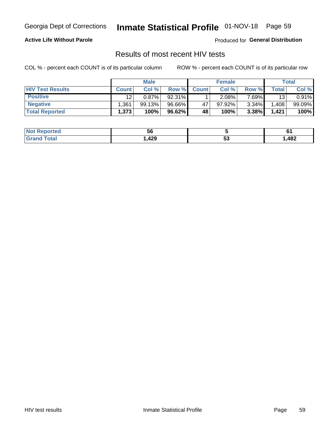# Inmate Statistical Profile 01-NOV-18 Page 59

## **Active Life Without Parole**

Produced for General Distribution

# Results of most recent HIV tests

COL % - percent each COUNT is of its particular column

|                         | <b>Male</b>  |          | <b>Female</b> |              |        | Total    |       |        |
|-------------------------|--------------|----------|---------------|--------------|--------|----------|-------|--------|
| <b>HIV Test Results</b> | <b>Count</b> | Col %    | Row %I        | <b>Count</b> | Col %  | Row %    | Total | Col %  |
| <b>Positive</b>         | 12           | $0.87\%$ | 92.31%        |              | 2.08%  | $7.69\%$ | 13    | 0.91%  |
| <b>Negative</b>         | .361         | 99.13%   | 96.66%        | 47           | 97.92% | $3.34\%$ | .408  | 99.09% |
| <b>Total Reported</b>   | 1,373        | 100%     | 96.62%        | 48           | 100%   | 3.38%    | 1,421 | 100%   |

| <b>Not Reported</b>    | วง   |         | . .  |
|------------------------|------|---------|------|
| <b>Total</b><br>. Grot | ,429 | -0<br>◡ | ,482 |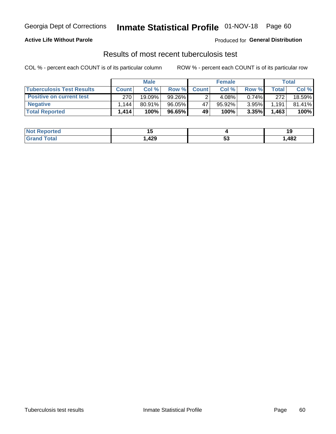# Georgia Dept of Corrections **Inmate Statistical Profile** 01-NOV-18 Page 60

## **Active Life Without Parole**

Produced for **General Distribution**

# Results of most recent tuberculosis test

COL % - percent each COUNT is of its particular column ROW % - percent each COUNT is of its particular row

|                                  | <b>Male</b>  |        |        | <b>Female</b> |        |          | Total |        |
|----------------------------------|--------------|--------|--------|---------------|--------|----------|-------|--------|
| <b>Tuberculosis Test Results</b> | <b>Count</b> | Col%   | Row %I | <b>Count</b>  | Col%   | Row %    | Total | Col %  |
| <b>Positive on current test</b>  | 270          | 19.09% | 99.26% |               | 4.08%  | $0.74\%$ | 272   | 18.59% |
| <b>Negative</b>                  | .144         | 80.91% | 96.05% | 47            | 95.92% | 3.95%    | 1,191 | 81.41% |
| <b>Total Reported</b>            | 1,414        | 100%   | 96.65% | 49            | 100%   | 3.35%    | 1,463 | 100%   |

| <b>Not Reported</b> | . v            |           |      |
|---------------------|----------------|-----------|------|
| <b>Total</b>        | ,429<br>$\sim$ | - -<br>JJ | ,482 |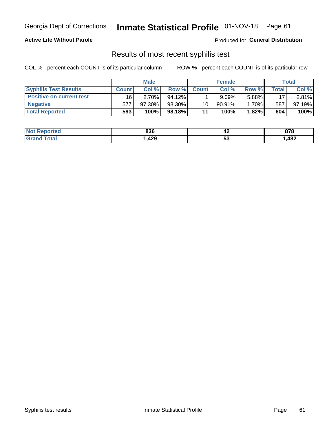# Georgia Dept of Corrections **Inmate Statistical Profile** 01-NOV-18 Page 61

## **Active Life Without Parole**

Produced for **General Distribution**

## Results of most recent syphilis test

COL % - percent each COUNT is of its particular column ROW % - percent each COUNT is of its particular row

|                                 | <b>Male</b>  |           |           | <b>Female</b> |           |        | Total |        |
|---------------------------------|--------------|-----------|-----------|---------------|-----------|--------|-------|--------|
| <b>Syphilis Test Results</b>    | <b>Count</b> | Col%      | Row %     | <b>Count</b>  | Col %     | Row %I | Total | Col %  |
| <b>Positive on current test</b> | 16           | $2.70\%$  | $94.12\%$ |               | 9.09%     | 5.88%  | 17    | 2.81%  |
| <b>Negative</b>                 | 577          | $97.30\%$ | 98.30%    | 10            | $90.91\%$ | 1.70%  | 587   | 97.19% |
| <b>Total Reported</b>           | 593          | 100%      | 98.18% I  | 11            | 100%      | 1.82%  | 604   | 100%   |

| <b>Not Reported</b>   | 836  | 44        | 070<br>o 1 0 |
|-----------------------|------|-----------|--------------|
| <b>Total</b><br>Granc | ,429 | - -<br>vu | 482          |